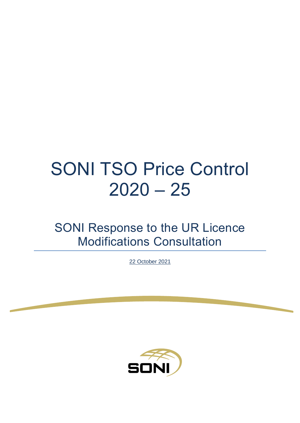# SONI TSO Price Control  $2020 - 25$

SONI Response to the UR Licence Modifications Consultation

22 October 2021

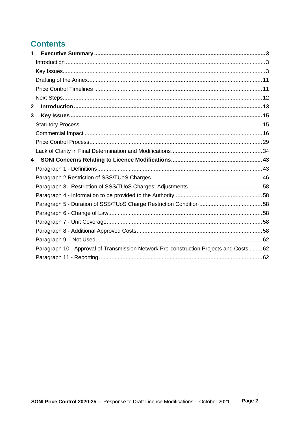# **Contents**

| Paragraph 10 - Approval of Transmission Network Pre-construction Projects and Costs  62 |
|-----------------------------------------------------------------------------------------|
|                                                                                         |
|                                                                                         |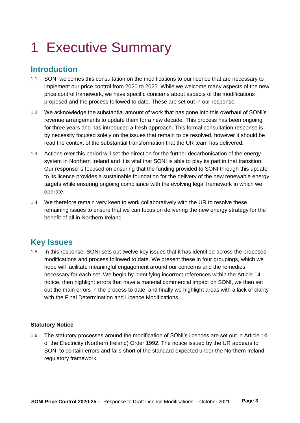# <span id="page-2-0"></span>1 Executive Summary

# <span id="page-2-1"></span>**Introduction**

- 1.1 SONI welcomes this consultation on the modifications to our licence that are necessary to implement our price control from 2020 to 2025. While we welcome many aspects of the new price control framework, we have specific concerns about aspects of the modifications proposed and the process followed to date. These are set out in our response.
- 1.2 We acknowledge the substantial amount of work that has gone into this overhaul of SONI's revenue arrangements to update them for a new decade. This process has been ongoing for three years and has introduced a fresh approach. This formal consultation response is by necessity focused solely on the issues that remain to be resolved, however it should be read the context of the substantial transformation that the UR team has delivered.
- 1.3 Actions over this period will set the direction for the further decarbonisation of the energy system in Northern Ireland and it is vital that SONI is able to play its part in that transition. Our response is focused on ensuring that the funding provided to SONI through this update to its licence provides a sustainable foundation for the delivery of the new renewable energy targets while ensuring ongoing compliance with the evolving legal framework in which we operate.
- 1.4 We therefore remain very keen to work collaboratively with the UR to resolve these remaining issues to ensure that we can focus on delivering the new energy strategy for the benefit of all in Northern Ireland.

# <span id="page-2-2"></span>**Key Issues**

1.5 In this response, SONI sets out twelve key issues that it has identified across the proposed modifications and process followed to date. We present these in four groupings, which we hope will facilitate meaningful engagement around our concerns and the remedies necessary for each set. We begin by identifying incorrect references within the Article 14 notice, then highlight errors that have a material commercial impact on SONI, we then set out the main errors in the process to date, and finally we highlight areas with a lack of clarity with the Final Determination and Licence Modifications.

# **Statutory Notice**

1.6 The statutory processes around the modification of SONI's licences are set out in Article 14 of the Electricity (Northern Ireland) Order 1992. The notice issued by the UR appears to SONI to contain errors and falls short of the standard expected under the Northern Ireland regulatory framework.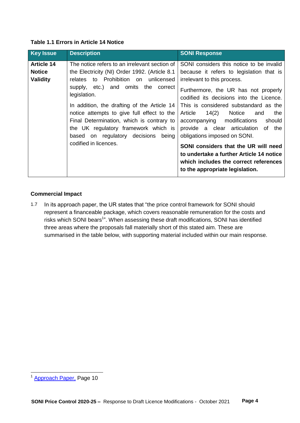| Table 1.1 Errors in Article 14 Notice |  |  |
|---------------------------------------|--|--|
|---------------------------------------|--|--|

| <b>Key Issue</b>                                      | <b>Description</b>                                                                                                                                                                                                                                                                                                                                                                                                                                        | <b>SONI Response</b>                                                                                                                                                                                                                                                                                                                                                                                                                                                                                                                        |
|-------------------------------------------------------|-----------------------------------------------------------------------------------------------------------------------------------------------------------------------------------------------------------------------------------------------------------------------------------------------------------------------------------------------------------------------------------------------------------------------------------------------------------|---------------------------------------------------------------------------------------------------------------------------------------------------------------------------------------------------------------------------------------------------------------------------------------------------------------------------------------------------------------------------------------------------------------------------------------------------------------------------------------------------------------------------------------------|
| <b>Article 14</b><br><b>Notice</b><br><b>Validity</b> | The notice refers to an irrelevant section of<br>the Electricity (NI) Order 1992. (Article 8.1)<br>to Prohibition on unlicensed<br>relates<br>supply, etc.) and omits the<br>correct<br>legislation.<br>In addition, the drafting of the Article 14<br>notice attempts to give full effect to the<br>Final Determination, which is contrary to<br>the UK regulatory framework which is<br>based on regulatory decisions<br>being<br>codified in licences. | SONI considers this notice to be invalid<br>because it refers to legislation that is<br>irrelevant to this process.<br>Furthermore, the UR has not properly<br>codified its decisions into the Licence.<br>This is considered substandard as the<br>14(2)<br>Article<br>Notice<br>the<br>and<br>accompanying modifications<br>should<br>provide a clear articulation of<br>the<br>obligations imposed on SONI.<br>SONI considers that the UR will need<br>to undertake a further Article 14 notice<br>which includes the correct references |
|                                                       |                                                                                                                                                                                                                                                                                                                                                                                                                                                           | to the appropriate legislation.                                                                                                                                                                                                                                                                                                                                                                                                                                                                                                             |

# **Commercial Impact**

1.7 In its approach paper, the UR states that "the price control framework for SONI should represent a financeable package, which covers reasonable remuneration for the costs and risks which SONI bears<sup>1</sup>". When assessing these draft modifications, SONI has identified three areas where the proposals fall materially short of this stated aim. These are summarised in the table below, with supporting material included within our main response.

 $\overline{a}$ 

<sup>&</sup>lt;sup>1</sup> [Approach Paper,](https://buzz.grid.ie/sites/executive/sonimd/SONI%20MD/02%20-%20SONI%20Revenue/02-B%20-%202020-25%20SONI%20Submission/FD_-_SONI_Response/Licence_Mods/24.09.21%20SONI%20Licence%20Mods%20Consultation/.https:/www.uregni.gov.uk/files/uregni/media-files/SONI%20TSO%20price%20control%20final%20approach.pdf) Page 10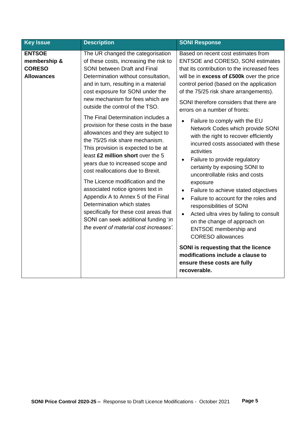| <b>Key Issue</b>                                                    | <b>Description</b>                                                                                                                                                                                                                                                                                                                                                                                                                                                                                                                                                                                                                                                                                                                                                                                                                                                                          | <b>SONI Response</b>                                                                                                                                                                                                                                                                                                                                                                                                                                                                                                                                                                                                                                                                                                                                                                                                                                                                                                                                                                                                                             |  |  |
|---------------------------------------------------------------------|---------------------------------------------------------------------------------------------------------------------------------------------------------------------------------------------------------------------------------------------------------------------------------------------------------------------------------------------------------------------------------------------------------------------------------------------------------------------------------------------------------------------------------------------------------------------------------------------------------------------------------------------------------------------------------------------------------------------------------------------------------------------------------------------------------------------------------------------------------------------------------------------|--------------------------------------------------------------------------------------------------------------------------------------------------------------------------------------------------------------------------------------------------------------------------------------------------------------------------------------------------------------------------------------------------------------------------------------------------------------------------------------------------------------------------------------------------------------------------------------------------------------------------------------------------------------------------------------------------------------------------------------------------------------------------------------------------------------------------------------------------------------------------------------------------------------------------------------------------------------------------------------------------------------------------------------------------|--|--|
| <b>ENTSOE</b><br>membership &<br><b>CORESO</b><br><b>Allowances</b> | The UR changed the categorisation<br>of these costs, increasing the risk to<br>SONI between Draft and Final<br>Determination without consultation,<br>and in turn, resulting in a material<br>cost exposure for SONI under the<br>new mechanism for fees which are<br>outside the control of the TSO.<br>The Final Determination includes a<br>provision for these costs in the base<br>allowances and they are subject to<br>the 75/25 risk share mechanism.<br>This provision is expected to be at<br>least £2 million short over the 5<br>years due to increased scope and<br>cost reallocations due to Brexit.<br>The Licence modification and the<br>associated notice ignores text in<br>Appendix A to Annex 5 of the Final<br>Determination which states<br>specifically for these cost areas that<br>SONI can seek additional funding 'in<br>the event of material cost increases'. | Based on recent cost estimates from<br><b>ENTSOE and CORESO, SONI estimates</b><br>that its contribution to the increased fees<br>will be in excess of £500k over the price<br>control period (based on the application<br>of the 75/25 risk share arrangements).<br>SONI therefore considers that there are<br>errors on a number of fronts:<br>Failure to comply with the EU<br>$\bullet$<br>Network Codes which provide SONI<br>with the right to recover efficiently<br>incurred costs associated with these<br>activities<br>Failure to provide regulatory<br>certainty by exposing SONI to<br>uncontrollable risks and costs<br>exposure<br>Failure to achieve stated objectives<br>$\bullet$<br>Failure to account for the roles and<br>$\bullet$<br>responsibilities of SONI<br>Acted ultra vires by failing to consult<br>on the change of approach on<br>ENTSOE membership and<br><b>CORESO allowances</b><br>SONI is requesting that the licence<br>modifications include a clause to<br>ensure these costs are fully<br>recoverable. |  |  |
|                                                                     |                                                                                                                                                                                                                                                                                                                                                                                                                                                                                                                                                                                                                                                                                                                                                                                                                                                                                             |                                                                                                                                                                                                                                                                                                                                                                                                                                                                                                                                                                                                                                                                                                                                                                                                                                                                                                                                                                                                                                                  |  |  |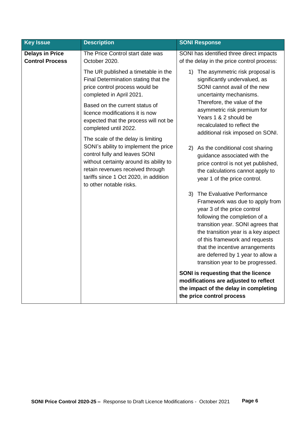| <b>Key Issue</b>                                 | <b>Description</b>                                                                                                                                                                                                                                              | <b>SONI Response</b>                                                                                                                                                                                                                                                                                                                                           |
|--------------------------------------------------|-----------------------------------------------------------------------------------------------------------------------------------------------------------------------------------------------------------------------------------------------------------------|----------------------------------------------------------------------------------------------------------------------------------------------------------------------------------------------------------------------------------------------------------------------------------------------------------------------------------------------------------------|
| <b>Delays in Price</b><br><b>Control Process</b> | The Price Control start date was<br>October 2020.                                                                                                                                                                                                               | SONI has identified three direct impacts<br>of the delay in the price control process:                                                                                                                                                                                                                                                                         |
|                                                  | The UR published a timetable in the<br>Final Determination stating that the<br>price control process would be<br>completed in April 2021.                                                                                                                       | The asymmetric risk proposal is<br>1)<br>significantly undervalued, as<br>SONI cannot avail of the new<br>uncertainty mechanisms.                                                                                                                                                                                                                              |
|                                                  | Based on the current status of<br>licence modifications it is now<br>expected that the process will not be<br>completed until 2022.                                                                                                                             | Therefore, the value of the<br>asymmetric risk premium for<br>Years 1 & 2 should be<br>recalculated to reflect the<br>additional risk imposed on SONI.                                                                                                                                                                                                         |
|                                                  | The scale of the delay is limiting<br>SONI's ability to implement the price<br>control fully and leaves SONI<br>without certainty around its ability to<br>retain revenues received through<br>tariffs since 1 Oct 2020, in addition<br>to other notable risks. | As the conditional cost sharing<br>2)<br>guidance associated with the<br>price control is not yet published,<br>the calculations cannot apply to<br>year 1 of the price control.                                                                                                                                                                               |
|                                                  |                                                                                                                                                                                                                                                                 | The Evaluative Performance<br>3)<br>Framework was due to apply from<br>year 3 of the price control<br>following the completion of a<br>transition year. SONI agrees that<br>the transition year is a key aspect<br>of this framework and requests<br>that the incentive arrangements<br>are deferred by 1 year to allow a<br>transition year to be progressed. |
|                                                  |                                                                                                                                                                                                                                                                 | SONI is requesting that the licence<br>modifications are adjusted to reflect<br>the impact of the delay in completing<br>the price control process                                                                                                                                                                                                             |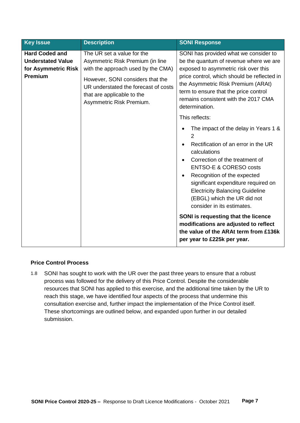| <b>Hard Coded and</b><br>The UR set a value for the<br><b>Understated Value</b><br>Asymmetric Risk Premium (in line<br>for Asymmetric Risk<br>with the approach used by the CMA)<br>exposed to asymmetric risk over this<br><b>Premium</b>                                                                                                                                                                                                                                                                                                                                                                                                        | <b>Key Issue</b> | <b>Description</b>               | <b>SONI Response</b>                                                                                                                                                                                                                                   |
|---------------------------------------------------------------------------------------------------------------------------------------------------------------------------------------------------------------------------------------------------------------------------------------------------------------------------------------------------------------------------------------------------------------------------------------------------------------------------------------------------------------------------------------------------------------------------------------------------------------------------------------------------|------------------|----------------------------------|--------------------------------------------------------------------------------------------------------------------------------------------------------------------------------------------------------------------------------------------------------|
| the Asymmetric Risk Premium (ARAt)<br>UR understated the forecast of costs<br>term to ensure that the price control<br>that are applicable to the<br>remains consistent with the 2017 CMA<br>Asymmetric Risk Premium.<br>determination.<br>This reflects:<br>2<br>Rectification of an error in the UR<br>calculations<br>Correction of the treatment of<br><b>ENTSO-E &amp; CORESO costs</b><br>Recognition of the expected<br><b>Electricity Balancing Guideline</b><br>(EBGL) which the UR did not<br>consider in its estimates.<br>SONI is requesting that the licence<br>modifications are adjusted to reflect<br>per year to £225k per year. |                  | However, SONI considers that the | SONI has provided what we consider to<br>be the quantum of revenue where we are<br>price control, which should be reflected in<br>The impact of the delay in Years 1 &<br>significant expenditure required on<br>the value of the ARAt term from £136k |

# **Price Control Process**

1.8 SONI has sought to work with the UR over the past three years to ensure that a robust process was followed for the delivery of this Price Control. Despite the considerable resources that SONI has applied to this exercise, and the additional time taken by the UR to reach this stage, we have identified four aspects of the process that undermine this consultation exercise and, further impact the implementation of the Price Control itself. These shortcomings are outlined below, and expanded upon further in our detailed submission.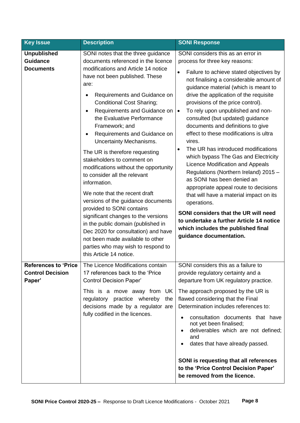| <b>Key Issue</b>                                          | <b>Description</b>                                                                                                                                                                                                                                                                                                                                                                                                                                                                                                                                                                                                                                                                                                                                                                                                                                                                                     | <b>SONI Response</b>                                                                                                                                                                                                                                                                                                                                                                                                                                                                                                                                                                                                                                                                                                                                                                                                                                                                                                                         |
|-----------------------------------------------------------|--------------------------------------------------------------------------------------------------------------------------------------------------------------------------------------------------------------------------------------------------------------------------------------------------------------------------------------------------------------------------------------------------------------------------------------------------------------------------------------------------------------------------------------------------------------------------------------------------------------------------------------------------------------------------------------------------------------------------------------------------------------------------------------------------------------------------------------------------------------------------------------------------------|----------------------------------------------------------------------------------------------------------------------------------------------------------------------------------------------------------------------------------------------------------------------------------------------------------------------------------------------------------------------------------------------------------------------------------------------------------------------------------------------------------------------------------------------------------------------------------------------------------------------------------------------------------------------------------------------------------------------------------------------------------------------------------------------------------------------------------------------------------------------------------------------------------------------------------------------|
| <b>Unpublished</b><br><b>Guidance</b><br><b>Documents</b> | SONI notes that the three guidance<br>documents referenced in the licence<br>modifications and Article 14 notice<br>have not been published. These<br>are:<br>Requirements and Guidance on<br>$\bullet$<br><b>Conditional Cost Sharing;</b><br>Requirements and Guidance on<br>$\bullet$<br>the Evaluative Performance<br>Framework; and<br>Requirements and Guidance on<br>$\bullet$<br>Uncertainty Mechanisms.<br>The UR is therefore requesting<br>stakeholders to comment on<br>modifications without the opportunity<br>to consider all the relevant<br>information.<br>We note that the recent draft<br>versions of the guidance documents<br>provided to SONI contains<br>significant changes to the versions<br>in the public domain (published in<br>Dec 2020 for consultation) and have<br>not been made available to other<br>parties who may wish to respond to<br>this Article 14 notice. | SONI considers this as an error in<br>process for three key reasons:<br>Failure to achieve stated objectives by<br>$\bullet$<br>not finalising a considerable amount of<br>guidance material (which is meant to<br>drive the application of the requisite<br>provisions of the price control).<br>To rely upon unpublished and non-<br>$\bullet$<br>consulted (but updated) guidance<br>documents and definitions to give<br>effect to these modifications is ultra<br>vires.<br>The UR has introduced modifications<br>$\bullet$<br>which bypass The Gas and Electricity<br>Licence Modification and Appeals<br>Regulations (Northern Ireland) 2015 -<br>as SONI has been denied an<br>appropriate appeal route to decisions<br>that will have a material impact on its<br>operations.<br>SONI considers that the UR will need<br>to undertake a further Article 14 notice<br>which includes the published final<br>guidance documentation. |
| <b>Control Decision</b><br>Paper'                         | <b>References to 'Price</b>   The Licence Modifications contain<br>17 references back to the 'Price<br><b>Control Decision Paper'</b><br>This is a move away from UK<br>regulatory practice whereby<br>the<br>decisions made by a regulator are<br>fully codified in the licences.                                                                                                                                                                                                                                                                                                                                                                                                                                                                                                                                                                                                                     | SONI considers this as a failure to<br>provide regulatory certainty and a<br>departure from UK regulatory practice.<br>The approach proposed by the UR is<br>flawed considering that the Final<br>Determination includes references to:<br>consultation documents that have<br>not yet been finalised;<br>deliverables which are not defined;<br>and<br>dates that have already passed.<br>SONI is requesting that all references<br>to the 'Price Control Decision Paper'<br>be removed from the licence.                                                                                                                                                                                                                                                                                                                                                                                                                                   |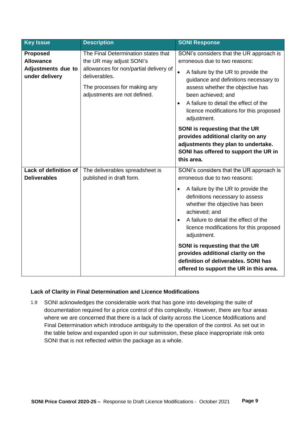| <b>Key Issue</b>                                                                   | <b>Description</b>                                                                                                                                                                         | <b>SONI Response</b>                                                                                                                                                                                                                                                                                                                                                                                                                                                                          |
|------------------------------------------------------------------------------------|--------------------------------------------------------------------------------------------------------------------------------------------------------------------------------------------|-----------------------------------------------------------------------------------------------------------------------------------------------------------------------------------------------------------------------------------------------------------------------------------------------------------------------------------------------------------------------------------------------------------------------------------------------------------------------------------------------|
| <b>Proposed</b><br><b>Allowance</b><br><b>Adjustments due to</b><br>under delivery | The Final Determination states that<br>the UR may adjust SONI's<br>allowances for non/partial delivery of<br>deliverables.<br>The processes for making any<br>adjustments are not defined. | SONI's considers that the UR approach is<br>erroneous due to two reasons:<br>$\bullet$<br>A failure by the UR to provide the<br>guidance and definitions necessary to<br>assess whether the objective has<br>been achieved; and<br>A failure to detail the effect of the<br>$\bullet$<br>licence modifications for this proposed<br>adjustment.<br>SONI is requesting that the UR                                                                                                             |
|                                                                                    |                                                                                                                                                                                            | provides additional clarity on any<br>adjustments they plan to undertake.<br>SONI has offered to support the UR in<br>this area.                                                                                                                                                                                                                                                                                                                                                              |
| Lack of definition of<br><b>Deliverables</b>                                       | The deliverables spreadsheet is<br>published in draft form.                                                                                                                                | SONI's considers that the UR approach is<br>erroneous due to two reasons:<br>A failure by the UR to provide the<br>$\bullet$<br>definitions necessary to assess<br>whether the objective has been<br>achieved; and<br>A failure to detail the effect of the<br>$\bullet$<br>licence modifications for this proposed<br>adjustment.<br>SONI is requesting that the UR<br>provides additional clarity on the<br>definition of deliverables. SONI has<br>offered to support the UR in this area. |

# **Lack of Clarity in Final Determination and Licence Modifications**

1.9 SONI acknowledges the considerable work that has gone into developing the suite of documentation required for a price control of this complexity. However, there are four areas where we are concerned that there is a lack of clarity across the Licence Modifications and Final Determination which introduce ambiguity to the operation of the control. As set out in the table below and expanded upon in our submission, these place inappropriate risk onto SONI that is not reflected within the package as a whole.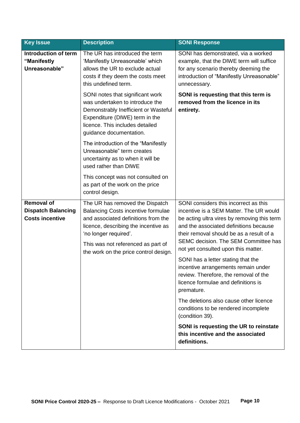| <b>Key Issue</b>                                                                                                                                                                                                                                                                        | <b>Description</b>                                                                                                                                                | <b>SONI Response</b>                                                                                                                                                                                                                                                                                                                                                                                                                                                                                                                                                                                                       |
|-----------------------------------------------------------------------------------------------------------------------------------------------------------------------------------------------------------------------------------------------------------------------------------------|-------------------------------------------------------------------------------------------------------------------------------------------------------------------|----------------------------------------------------------------------------------------------------------------------------------------------------------------------------------------------------------------------------------------------------------------------------------------------------------------------------------------------------------------------------------------------------------------------------------------------------------------------------------------------------------------------------------------------------------------------------------------------------------------------------|
| Introduction of term<br>"Manifestly<br>Unreasonable"                                                                                                                                                                                                                                    | The UR has introduced the term<br>'Manifestly Unreasonable' which<br>allows the UR to exclude actual<br>costs if they deem the costs meet<br>this undefined term. | SONI has demonstrated, via a worked<br>example, that the DIWE term will suffice<br>for any scenario thereby deeming the<br>introduction of "Manifestly Unreasonable"<br>unnecessary.                                                                                                                                                                                                                                                                                                                                                                                                                                       |
| SONI notes that significant work<br>was undertaken to introduce the<br>Demonstrably Inefficient or Wasteful<br>Expenditure (DIWE) term in the<br>licence. This includes detailed<br>guidance documentation.                                                                             |                                                                                                                                                                   | SONI is requesting that this term is<br>removed from the licence in its<br>entirety.                                                                                                                                                                                                                                                                                                                                                                                                                                                                                                                                       |
|                                                                                                                                                                                                                                                                                         | The introduction of the "Manifestly<br>Unreasonable" term creates<br>uncertainty as to when it will be<br>used rather than DIWE                                   |                                                                                                                                                                                                                                                                                                                                                                                                                                                                                                                                                                                                                            |
|                                                                                                                                                                                                                                                                                         | This concept was not consulted on<br>as part of the work on the price<br>control design.                                                                          |                                                                                                                                                                                                                                                                                                                                                                                                                                                                                                                                                                                                                            |
| <b>Removal of</b>                                                                                                                                                                                                                                                                       | The UR has removed the Dispatch                                                                                                                                   | SONI considers this incorrect as this                                                                                                                                                                                                                                                                                                                                                                                                                                                                                                                                                                                      |
| <b>Dispatch Balancing</b><br><b>Balancing Costs incentive formulae</b><br><b>Costs incentive</b><br>and associated definitions from the<br>licence, describing the incentive as<br>'no longer required'.<br>This was not referenced as part of<br>the work on the price control design. |                                                                                                                                                                   | incentive is a SEM Matter. The UR would<br>be acting ultra vires by removing this term<br>and the associated definitions because<br>their removal should be as a result of a<br>SEMC decision. The SEM Committee has<br>not yet consulted upon this matter.<br>SONI has a letter stating that the<br>incentive arrangements remain under<br>review. Therefore, the removal of the<br>licence formulae and definitions is<br>premature.<br>The deletions also cause other licence<br>conditions to be rendered incomplete<br>(condition 39).<br>SONI is requesting the UR to reinstate<br>this incentive and the associated |
|                                                                                                                                                                                                                                                                                         |                                                                                                                                                                   | definitions.                                                                                                                                                                                                                                                                                                                                                                                                                                                                                                                                                                                                               |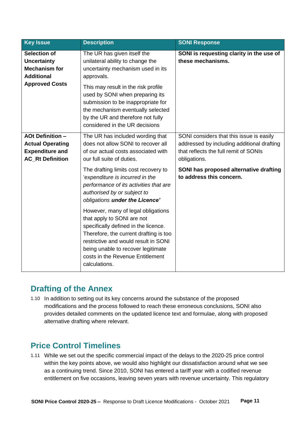| <b>Key Issue</b>                                                                                        | <b>Description</b>                                                                                                                                                                                                                                                                    | <b>SONI Response</b>                                                                                                                            |
|---------------------------------------------------------------------------------------------------------|---------------------------------------------------------------------------------------------------------------------------------------------------------------------------------------------------------------------------------------------------------------------------------------|-------------------------------------------------------------------------------------------------------------------------------------------------|
| <b>Selection of</b><br><b>Uncertainty</b><br><b>Mechanism for</b><br><b>Additional</b>                  | The UR has given itself the<br>unilateral ability to change the<br>uncertainty mechanism used in its<br>approvals.                                                                                                                                                                    | SONI is requesting clarity in the use of<br>these mechanisms.                                                                                   |
| <b>Approved Costs</b>                                                                                   | This may result in the risk profile<br>used by SONI when preparing its<br>submission to be inappropriate for<br>the mechanism eventually selected<br>by the UR and therefore not fully<br>considered in the UR decisions                                                              |                                                                                                                                                 |
| <b>AOt Definition -</b><br><b>Actual Operating</b><br><b>Expenditure and</b><br><b>AC_Rt Definition</b> | The UR has included wording that<br>does not allow SONI to recover all<br>of our actual costs associated with<br>our full suite of duties.                                                                                                                                            | SONI considers that this issue is easily<br>addressed by including additional drafting<br>that reflects the full remit of SONIs<br>obligations. |
|                                                                                                         | The drafting limits cost recovery to<br>'expenditure is incurred in the<br>performance of its activities that are<br>authorised by or subject to<br>obligations under the Licence'                                                                                                    | SONI has proposed alternative drafting<br>to address this concern.                                                                              |
|                                                                                                         | However, many of legal obligations<br>that apply to SONI are not<br>specifically defined in the licence.<br>Therefore, the current drafting is too<br>restrictive and would result in SONI<br>being unable to recover legitimate<br>costs in the Revenue Entitlement<br>calculations. |                                                                                                                                                 |

# <span id="page-10-0"></span>**Drafting of the Annex**

1.10 In addition to setting out its key concerns around the substance of the proposed modifications and the process followed to reach these erroneous conclusions, SONI also provides detailed comments on the updated licence text and formulae, along with proposed alternative drafting where relevant.

# <span id="page-10-1"></span>**Price Control Timelines**

1.11 While we set out the specific commercial impact of the delays to the 2020-25 price control within the key points above, we would also highlight our dissatisfaction around what we see as a continuing trend. Since 2010, SONI has entered a tariff year with a codified revenue entitlement on five occasions, leaving seven years with revenue uncertainty. This regulatory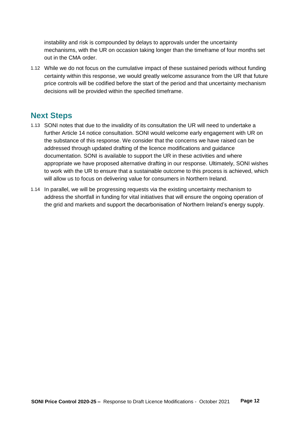instability and risk is compounded by delays to approvals under the uncertainty mechanisms, with the UR on occasion taking longer than the timeframe of four months set out in the CMA order.

1.12 While we do not focus on the cumulative impact of these sustained periods without funding certainty within this response, we would greatly welcome assurance from the UR that future price controls will be codified before the start of the period and that uncertainty mechanism decisions will be provided within the specified timeframe.

# <span id="page-11-0"></span>**Next Steps**

- 1.13 SONI notes that due to the invalidity of its consultation the UR will need to undertake a further Article 14 notice consultation. SONI would welcome early engagement with UR on the substance of this response. We consider that the concerns we have raised can be addressed through updated drafting of the licence modifications and guidance documentation. SONI is available to support the UR in these activities and where appropriate we have proposed alternative drafting in our response. Ultimately, SONI wishes to work with the UR to ensure that a sustainable outcome to this process is achieved, which will allow us to focus on delivering value for consumers in Northern Ireland.
- 1.14 In parallel, we will be progressing requests via the existing uncertainty mechanism to address the shortfall in funding for vital initiatives that will ensure the ongoing operation of the grid and markets and support the decarbonisation of Northern Ireland's energy supply.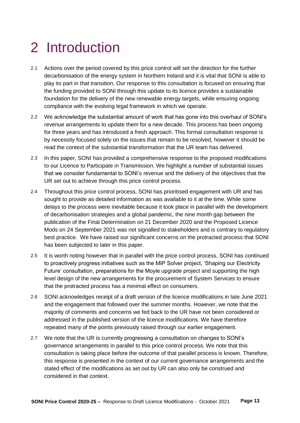# <span id="page-12-0"></span>2 Introduction

- 2.1 Actions over the period covered by this price control will set the direction for the further decarbonisation of the energy system in Northern Ireland and it is vital that SONI is able to play its part in that transition. Our response to this consultation is focused on ensuring that the funding provided to SONI through this update to its licence provides a sustainable foundation for the delivery of the new renewable energy targets, while ensuring ongoing compliance with the evolving legal framework in which we operate.
- 2.2 We acknowledge the substantial amount of work that has gone into this overhaul of SONI's revenue arrangements to update them for a new decade. This process has been ongoing for three years and has introduced a fresh approach. This formal consultation response is by necessity focused solely on the issues that remain to be resolved, however it should be read the context of the substantial transformation that the UR team has delivered.
- 2.3 In this paper, SONI has provided a comprehensive response to the proposed modifications to our Licence to Participate in Transmission. We highlight a number of substantial issues that we consider fundamental to SONI's revenue and the delivery of the objectives that the UR set out to achieve through this price control process.
- 2.4 Throughout this price control process, SONI has prioritised engagement with UR and has sought to provide as detailed information as was available to it at the time. While some delays to the process were inevitable because it took place in parallel with the development of decarbonisation strategies and a global pandemic, the nine month gap between the publication of the Final Determination on 21 December 2020 and the Proposed Licence Mods on 24 September 2021 was not signalled to stakeholders and is contrary to regulatory best practice. We have raised our significant concerns on the protracted process that SONI has been subjected to later in this paper.
- 2.5 It is worth noting however that in parallel with the price control process, SONI has continued to proactively progress initiatives such as the MIP Solver project, 'Shaping our Electricity Future' consultation, preparations for the Moyle upgrade project and supporting the high level design of the new arrangements for the procurement of System Services to ensure that the protracted process has a minimal effect on consumers.
- 2.6 SONI acknowledges receipt of a draft version of the licence modifications in late June 2021 and the engagement that followed over the summer months. However, we note that the majority of comments and concerns we fed back to the UR have not been considered or addressed in the published version of the licence modifications. We have therefore repeated many of the points previously raised through our earlier engagement.
- 2.7 We note that the UR is currently progressing a consultation on changes to SONI's governance arrangements in parallel to this price control process. We note that this consultation is taking place before the outcome of that parallel process is known. Therefore, this response is presented in the context of our current governance arrangements and the stated effect of the modifications as set out by UR can also only be construed and considered in that context.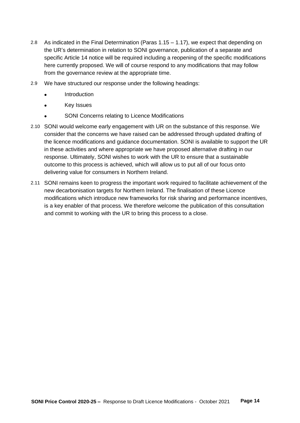- 2.8 As indicated in the Final Determination (Paras 1.15 1.17), we expect that depending on the UR's determination in relation to SONI governance, publication of a separate and specific Article 14 notice will be required including a reopening of the specific modifications here currently proposed. We will of course respond to any modifications that may follow from the governance review at the appropriate time.
- 2.9 We have structured our response under the following headings:
	- **Introduction**
	- Key Issues
	- SONI Concerns relating to Licence Modifications
- 2.10 SONI would welcome early engagement with UR on the substance of this response. We consider that the concerns we have raised can be addressed through updated drafting of the licence modifications and guidance documentation. SONI is available to support the UR in these activities and where appropriate we have proposed alternative drafting in our response. Ultimately, SONI wishes to work with the UR to ensure that a sustainable outcome to this process is achieved, which will allow us to put all of our focus onto delivering value for consumers in Northern Ireland.
- 2.11 SONI remains keen to progress the important work required to facilitate achievement of the new decarbonisation targets for Northern Ireland. The finalisation of these Licence modifications which introduce new frameworks for risk sharing and performance incentives, is a key enabler of that process. We therefore welcome the publication of this consultation and commit to working with the UR to bring this process to a close.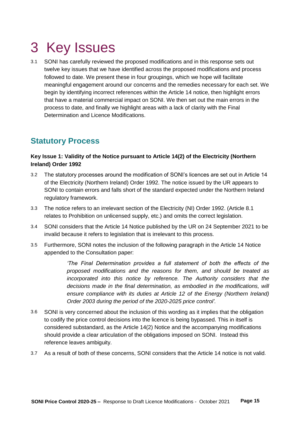# <span id="page-14-0"></span>3 Key Issues

3.1 SONI has carefully reviewed the proposed modifications and in this response sets out twelve key issues that we have identified across the proposed modifications and process followed to date. We present these in four groupings, which we hope will facilitate meaningful engagement around our concerns and the remedies necessary for each set. We begin by identifying incorrect references within the Article 14 notice, then highlight errors that have a material commercial impact on SONI. We then set out the main errors in the process to date, and finally we highlight areas with a lack of clarity with the Final Determination and Licence Modifications.

# <span id="page-14-1"></span>**Statutory Process**

# **Key Issue 1: Validity of the Notice pursuant to Article 14(2) of the Electricity (Northern Ireland) Order 1992**

- 3.2 The statutory processes around the modification of SONI's licences are set out in Article 14 of the Electricity (Northern Ireland) Order 1992. The notice issued by the UR appears to SONI to contain errors and falls short of the standard expected under the Northern Ireland regulatory framework.
- 3.3 The notice refers to an irrelevant section of the Electricity (NI) Order 1992. (Article 8.1 relates to Prohibition on unlicensed supply, etc.) and omits the correct legislation.
- 3.4 SONI considers that the Article 14 Notice published by the UR on 24 September 2021 to be invalid because it refers to legislation that is irrelevant to this process.
- 3.5 Furthermore, SONI notes the inclusion of the following paragraph in the Article 14 Notice appended to the Consultation paper:

*'The Final Determination provides a full statement of both the effects of the proposed modifications and the reasons for them, and should be treated as incorporated into this notice by reference. The Authority considers that the decisions made in the final determination, as embodied in the modifications, will ensure compliance with its duties at Article 12 of the Energy (Northern Ireland) Order 2003 during the period of the 2020-2025 price control'.*

- 3.6 SONI is very concerned about the inclusion of this wording as it implies that the obligation to codify the price control decisions into the licence is being bypassed. This in itself is considered substandard, as the Article 14(2) Notice and the accompanying modifications should provide a clear articulation of the obligations imposed on SONI. Instead this reference leaves ambiguity.
- 3.7 As a result of both of these concerns, SONI considers that the Article 14 notice is not valid.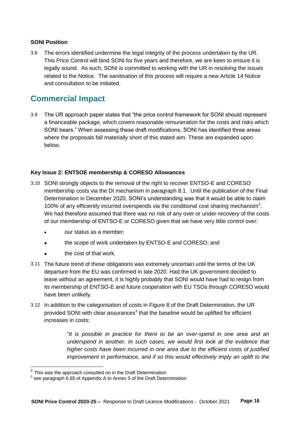# **SONI Position**

3.8 The errors identified undermine the legal integrity of the process undertaken by the UR. This Price Control will bind SONI for five years and therefore, we are keen to ensure it is legally sound. As such, SONI is committed to working with the UR in resolving the issues related to the Notice. The sanitisation of this process will require a new Article 14 Notice and consultation to be initiated.

# <span id="page-15-0"></span>**Commercial Impact**

3.9 The UR approach paper states that "the price control framework for SONI should represent a financeable package, which covers reasonable remuneration for the costs and risks which SONI bears." When assessing these draft modifications, SONI has identified three areas where the proposals fall materially short of this stated aim. These are expanded upon below.

# **Key Issue 2: ENTSOE membership & CORESO Allowances**

- 3.10 SONI strongly objects to the removal of the right to recover ENTSO-E and CORESO membership costs via the Dt mechanism in paragraph 8.1. Until the publication of the Final Determination in December 2020, SONI's understanding was that it would be able to claim 100% of any efficiently incurred overspends via the conditional cost sharing mechanism<sup>2</sup>. We had therefore assumed that there was no risk of any over or under-recovery of the costs of our membership of ENTSO-E or CORESO given that we have very little control over:
	- our status as a member;
	- the scope of work undertaken by ENTSO-E and CORESO; and
	- the cost of that work.
- 3.11 The future trend of these obligations was extremely uncertain until the terms of the UK departure from the EU was confirmed in late 2020. Had the UK government decided to leave without an agreement, it is highly probably that SONI would have had to resign from its membership of ENTSO-E and future cooperation with EU TSOs through CORESO would have been unlikely.
- 3.12 In addition to the categorisation of costs in Figure 8 of the Draft Determination, the UR provided SONI with clear assurances<sup>3</sup> that the baseline would be uplifted for efficient increases in costs:

"*It is possible in practice for there to be an over-spend in one area and an underspend in another. In such cases, we would first look at the evidence that higher costs have been incurred in one area due to the efficient costs of justified improvement in performance, and if so this would effectively imply an uplift to the* 

 $\overline{a}$ 

 $2$  This was the approach consulted on in the Draft Determination

 $3$  see paragraph 6.65 of Appendix A to Annex 5 of the Draft Determination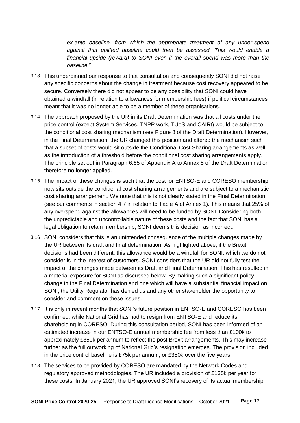*ex-ante baseline, from which the appropriate treatment of any under-spend against that uplifted baseline could then be assessed. This would enable a financial upside (reward) to SONI even if the overall spend was more than the baseline*."

- 3.13 This underpinned our response to that consultation and consequently SONI did not raise any specific concerns about the change in treatment because cost recovery appeared to be secure. Conversely there did not appear to be any possibility that SONI could have obtained a windfall (in relation to allowances for membership fees) if political circumstances meant that it was no longer able to be a member of these organisations.
- 3.14 The approach proposed by the UR in its Draft Determination was that all costs under the price control (except System Services, TNPP work, TUoS and CAIRt) would be subject to the conditional cost sharing mechanism (see Figure 8 of the Draft Determination). However, in the Final Determination, the UR changed this position and altered the mechanism such that a subset of costs would sit outside the Conditional Cost Sharing arrangements as well as the introduction of a threshold before the conditional cost sharing arrangements apply. The principle set out in Paragraph 6.65 of Appendix A to Annex 5 of the Draft Determination therefore no longer applied.
- 3.15 The impact of these changes is such that the cost for ENTSO-E and CORESO membership now sits outside the conditional cost sharing arrangements and are subject to a mechanistic cost sharing arrangement. We note that this is not clearly stated in the Final Determination (see our comments in section 4.7 in relation to Table A of Annex 1). This means that 25% of any overspend against the allowances will need to be funded by SONI. Considering both the unpredictable and uncontrollable nature of these costs and the fact that SONI has a legal obligation to retain membership, SONI deems this decision as incorrect.
- 3.16 SONI considers that this is an unintended consequence of the multiple changes made by the UR between its draft and final determination. As highlighted above, if the Brexit decisions had been different, this allowance would be a windfall for SONI, which we do not consider is in the interest of customers. SONI considers that the UR did not fully test the impact of the changes made between its Draft and Final Determination. This has resulted in a material exposure for SONI as discussed below. By making such a significant policy change in the Final Determination and one which will have a substantial financial impact on SONI, the Utility Regulator has denied us and any other stakeholder the opportunity to consider and comment on these issues.
- 3.17 It is only in recent months that SONI's future position in ENTSO-E and CORESO has been confirmed, while National Grid has had to resign from ENTSO-E and reduce its shareholding in CORESO. During this consultation period, SONI has been informed of an estimated increase in our ENTSO-E annual membership fee from less than £100k to approximately £350k per annum to reflect the post Brexit arrangements. This may increase further as the full outworking of National Grid's resignation emerges. The provision included in the price control baseline is £75k per annum, or £350k over the five years.
- 3.18 The services to be provided by CORESO are mandated by the Network Codes and regulatory approved methodologies. The UR included a provision of £135k per year for these costs. In January 2021, the UR approved SONI's recovery of its actual membership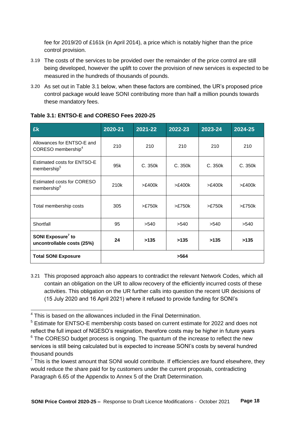fee for 2019/20 of £161k (in April 2014), a price which is notably higher than the price control provision.

- 3.19 The costs of the services to be provided over the remainder of the price control are still being developed, however the uplift to cover the provision of new services is expected to be measured in the hundreds of thousands of pounds.
- 3.20 As set out in Table 3.1 below, when these factors are combined, the UR's proposed price control package would leave SONI contributing more than half a million pounds towards these mandatory fees.

| <b>Ek</b>                                                    | 2020-21         | 2021-22 | 2022-23 | 2023-24 | $2024 - 25$ |
|--------------------------------------------------------------|-----------------|---------|---------|---------|-------------|
| Allowances for ENTSO-E and<br>CORESO membership <sup>4</sup> | 210             | 210     | 210     | 210     | 210         |
| Estimated costs for ENTSO-E<br>membership <sup>5</sup>       | 95 <sub>k</sub> | C.350k  | C. 350k | C.350k  | C. 350k     |
| Estimated costs for CORESO<br>membership <sup>6</sup>        | 210k            | >£400k  | >E400k  | >E400k  | >£400k      |
| Total membership costs                                       | 305             | >E750k  | >E750k  | >E750k  | >E750k      |
| Shortfall                                                    | 95              | >540    | >540    | >540    | >540        |
| SONI Exposure <sup>7</sup> to<br>uncontrollable costs (25%)  | 24              | >135    | >135    | >135    | >135        |
| <b>Total SONI Exposure</b>                                   |                 |         | >564    |         |             |

# **Table 3.1: ENTSO-E and CORESO Fees 2020-25**

3.21 This proposed approach also appears to contradict the relevant Network Codes, which all contain an obligation on the UR to allow recovery of the efficiently incurred costs of these activities. This obligation on the UR further calls into question the recent UR decisions of (15 July 2020 and 16 April 2021) where it refused to provide funding for SONI's

 $\overline{a}$ <sup>4</sup> This is based on the allowances included in the Final Determination.

<sup>5</sup> Estimate for ENTSO-E membership costs based on current estimate for 2022 and does not reflect the full impact of NGESO's resignation, therefore costs may be higher in future years  $6$  The CORESO budget process is ongoing. The quantum of the increase to reflect the new services is still being calculated but is expected to increase SONI's costs by several hundred thousand pounds

 $<sup>7</sup>$  This is the lowest amount that SONI would contribute. If efficiencies are found elsewhere, they</sup> would reduce the share paid for by customers under the current proposals, contradicting Paragraph 6.65 of the Appendix to Annex 5 of the Draft Determination.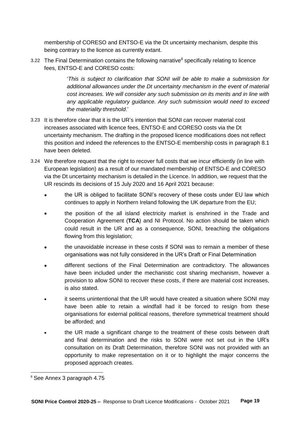membership of CORESO and ENTSO-E via the Dt uncertainty mechanism, despite this being contrary to the licence as currently extant.

3.22 The Final Determination contains the following narrative<sup>8</sup> specifically relating to licence fees, ENTSO-E and CORESO costs:

> '*This is subject to clarification that SONI will be able to make a submission for additional allowances under the Dt uncertainty mechanism in the event of material cost increases. We will consider any such submission on its merits and in line with any applicable regulatory guidance. Any such submission would need to exceed the materiality threshold*.'

- 3.23 It is therefore clear that it is the UR's intention that SONI can recover material cost increases associated with licence fees, ENTSO-E and CORESO costs via the Dt uncertainty mechanism. The drafting in the proposed licence modifications does not reflect this position and indeed the references to the ENTSO-E membership costs in paragraph 8.1 have been deleted.
- 3.24 We therefore request that the right to recover full costs that we incur efficiently (in line with European legislation) as a result of our mandated membership of ENTSO-E and CORESO via the Dt uncertainty mechanism is detailed in the Licence. In addition, we request that the UR rescinds its decisions of 15 July 2020 and 16 April 2021 because:
	- the UR is obliged to facilitate SONI's recovery of these costs under EU law which continues to apply in Northern Ireland following the UK departure from the EU;
	- the position of the all island electricity market is enshrined in the Trade and Cooperation Agreement (**TCA**) and NI Protocol. No action should be taken which could result in the UR and as a consequence, SONI, breaching the obligations flowing from this legislation;
	- the unavoidable increase in these costs if SONI was to remain a member of these organisations was not fully considered in the UR's Draft or Final Determination
	- different sections of the Final Determination are contradictory. The allowances have been included under the mechanistic cost sharing mechanism, however a provision to allow SONI to recover these costs, if there are material cost increases, is also stated.
	- it seems unintentional that the UR would have created a situation where SONI may have been able to retain a windfall had it be forced to resign from these organisations for external political reasons, therefore symmetrical treatment should be afforded; and
	- the UR made a significant change to the treatment of these costs between draft and final determination and the risks to SONI were not set out in the UR's consultation on its Draft Determination, therefore SONI was not provided with an opportunity to make representation on it or to highlight the major concerns the proposed approach creates.

 $\overline{a}$ 

<sup>&</sup>lt;sup>8</sup> See Annex 3 paragraph 4.75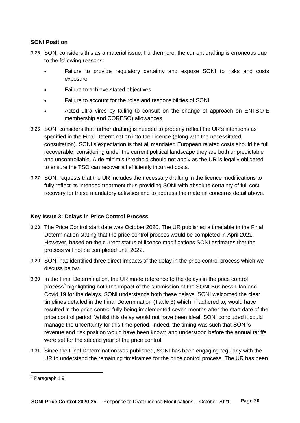# **SONI Position**

- 3.25 SONI considers this as a material issue. Furthermore, the current drafting is erroneous due to the following reasons:
	- Failure to provide regulatory certainty and expose SONI to risks and costs exposure
	- Failure to achieve stated objectives
	- Failure to account for the roles and responsibilities of SONI
	- Acted ultra vires by failing to consult on the change of approach on ENTSO-E membership and CORESO) allowances
- 3.26 SONI considers that further drafting is needed to properly reflect the UR's intentions as specified in the Final Determination into the Licence (along with the necessitated consultation). SONI's expectation is that all mandated European related costs should be full recoverable, considering under the current political landscape they are both unpredictable and uncontrollable. A de minimis threshold should not apply as the UR is legally obligated to ensure the TSO can recover all efficiently incurred costs.
- 3.27 SONI requests that the UR includes the necessary drafting in the licence modifications to fully reflect its intended treatment thus providing SONI with absolute certainty of full cost recovery for these mandatory activities and to address the material concerns detail above.

# **Key Issue 3: Delays in Price Control Process**

- 3.28 The Price Control start date was October 2020. The UR published a timetable in the Final Determination stating that the price control process would be completed in April 2021. However, based on the current status of licence modifications SONI estimates that the process will not be completed until 2022.
- 3.29 SONI has identified three direct impacts of the delay in the price control process which we discuss below.
- 3.30 In the Final Determination, the UR made reference to the delays in the price control process<sup>9</sup> highlighting both the impact of the submission of the SONI Business Plan and Covid 19 for the delays. SONI understands both these delays. SONI welcomed the clear timelines detailed in the Final Determination (Table 3) which, if adhered to, would have resulted in the price control fully being implemented seven months after the start date of the price control period. Whilst this delay would not have been ideal, SONI concluded it could manage the uncertainty for this time period. Indeed, the timing was such that SONI's revenue and risk position would have been known and understood before the annual tariffs were set for the second year of the price control.
- 3.31 Since the Final Determination was published, SONI has been engaging regularly with the UR to understand the remaining timeframes for the price control process. The UR has been

 9 Paragraph 1.9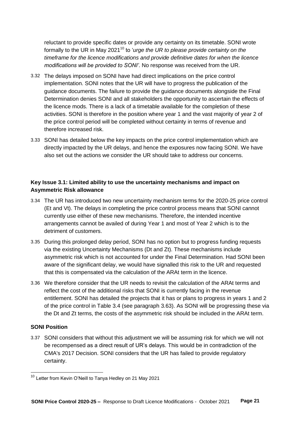reluctant to provide specific dates or provide any certainty on its timetable. SONI wrote formally to the UR in May 2021<sup>10</sup> to '*urge the UR to please provide certainty on the timeframe for the licence modifications and provide definitive dates for when the licence modifications will be provided to SONI'*. No response was received from the UR.

- 3.32 The delays imposed on SONI have had direct implications on the price control implementation. SONI notes that the UR will have to progress the publication of the guidance documents. The failure to provide the guidance documents alongside the Final Determination denies SONI and all stakeholders the opportunity to ascertain the effects of the licence mods. There is a lack of a timetable available for the completion of these activities. SONI is therefore in the position where year 1 and the vast majority of year 2 of the price control period will be completed without certainty in terms of revenue and therefore increased risk.
- 3.33 SONI has detailed below the key impacts on the price control implementation which are directly impacted by the UR delays, and hence the exposures now facing SONI. We have also set out the actions we consider the UR should take to address our concerns.

# **Key Issue 3.1: Limited ability to use the uncertainty mechanisms and impact on Asymmetric Risk allowance**

- 3.34 The UR has introduced two new uncertainty mechanism terms for the 2020-25 price control (Et and Vt). The delays in completing the price control process means that SONI cannot currently use either of these new mechanisms. Therefore, the intended incentive arrangements cannot be availed of during Year 1 and most of Year 2 which is to the detriment of customers.
- 3.35 During this prolonged delay period, SONI has no option but to progress funding requests via the existing Uncertainty Mechanisms (Dt and Zt). These mechanisms include asymmetric risk which is not accounted for under the Final Determination. Had SONI been aware of the significant delay, we would have signalled this risk to the UR and requested that this is compensated via the calculation of the ARAt term in the licence.
- 3.36 We therefore consider that the UR needs to revisit the calculation of the ARAt terms and reflect the cost of the additional risks that SONI is currently facing in the revenue entitlement. SONI has detailed the projects that it has or plans to progress in years 1 and 2 of the price control in Table 3.4 (see paragraph 3.63). As SONI will be progressing these via the Dt and Zt terms, the costs of the asymmetric risk should be included in the ARAt term.

# **SONI Position**

 $\overline{a}$ 

3.37 SONI considers that without this adjustment we will be assuming risk for which we will not be recompensed as a direct result of UR's delays. This would be in contradiction of the CMA's 2017 Decision. SONI considers that the UR has failed to provide regulatory certainty.

<sup>&</sup>lt;sup>10</sup> Letter from Kevin O'Neill to Tanya Hedley on 21 May 2021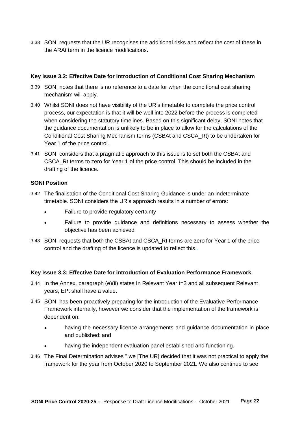3.38 SONI requests that the UR recognises the additional risks and reflect the cost of these in the ARAt term in the licence modifications.

# **Key Issue 3.2: Effective Date for introduction of Conditional Cost Sharing Mechanism**

- 3.39 SONI notes that there is no reference to a date for when the conditional cost sharing mechanism will apply.
- 3.40 Whilst SONI does not have visibility of the UR's timetable to complete the price control process, our expectation is that it will be well into 2022 before the process is completed when considering the statutory timelines. Based on this significant delay, SONI notes that the guidance documentation is unlikely to be in place to allow for the calculations of the Conditional Cost Sharing Mechanism terms (CSBAt and CSCA\_Rt) to be undertaken for Year 1 of the price control.
- 3.41 SONI considers that a pragmatic approach to this issue is to set both the CSBAt and CSCA\_Rt terms to zero for Year 1 of the price control. This should be included in the drafting of the licence.

# **SONI Position**

- 3.42 The finalisation of the Conditional Cost Sharing Guidance is under an indeterminate timetable. SONI considers the UR's approach results in a number of errors:
	- Failure to provide regulatory certainty
	- Failure to provide guidance and definitions necessary to assess whether the objective has been achieved
- 3.43 SONI requests that both the CSBAt and CSCA\_Rt terms are zero for Year 1 of the price control and the drafting of the licence is updated to reflect this..

# **Key Issue 3.3: Effective Date for introduction of Evaluation Performance Framework**

- 3.44 In the Annex, paragraph (e)(ii) states In Relevant Year t=3 and all subsequent Relevant years, EPt shall have a value.
- 3.45 SONI has been proactively preparing for the introduction of the Evaluative Performance Framework internally, however we consider that the implementation of the framework is dependent on:
	- having the necessary licence arrangements and guidance documentation in place and published; and
	- having the independent evaluation panel established and functioning.
- 3.46 The Final Determination advises ".we [The UR] decided that it was not practical to apply the framework for the year from October 2020 to September 2021. We also continue to see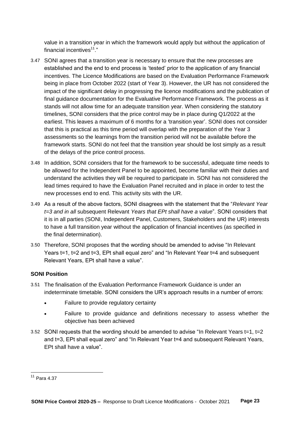value in a transition year in which the framework would apply but without the application of financial incentives $11$ ."

- 3.47 SONI agrees that a transition year is necessary to ensure that the new processes are established and the end to end process is 'tested' prior to the application of any financial incentives. The Licence Modifications are based on the Evaluation Performance Framework being in place from October 2022 (start of Year 3). However, the UR has not considered the impact of the significant delay in progressing the licence modifications and the publication of final guidance documentation for the Evaluative Performance Framework. The process as it stands will not allow time for an adequate transition year. When considering the statutory timelines, SONI considers that the price control may be in place during Q1/2022 at the earliest. This leaves a maximum of 6 months for a 'transition year'. SONI does not consider that this is practical as this time period will overlap with the preparation of the Year 3 assessments so the learnings from the transition period will not be available before the framework starts. SONI do not feel that the transition year should be lost simply as a result of the delays of the price control process.
- 3.48 In addition, SONI considers that for the framework to be successful, adequate time needs to be allowed for the Independent Panel to be appointed, become familiar with their duties and understand the activities they will be required to participate in. SONI has not considered the lead times required to have the Evaluation Panel recruited and in place in order to test the new processes end to end. This activity sits with the UR.
- 3.49 As a result of the above factors, SONI disagrees with the statement that the "*Relevant Year t=3 and in all* subsequent Relevant *Years that EPt shall have a value*". SONI considers that it is in all parties (SONI, Independent Panel, Customers, Stakeholders and the UR) interests to have a full transition year without the application of financial incentives (as specified in the final determination).
- 3.50 Therefore, SONI proposes that the wording should be amended to advise "In Relevant Years t=1, t=2 and t=3, EPt shall equal zero" and "In Relevant Year t=4 and subsequent Relevant Years, EPt shall have a value".

# **SONI Position**

- 3.51 The finalisation of the Evaluation Performance Framework Guidance is under an indeterminate timetable. SONI considers the UR's approach results in a number of errors:
	- Failure to provide regulatory certainty
	- Failure to provide guidance and definitions necessary to assess whether the objective has been achieved
- 3.52 SONI requests that the wording should be amended to advise "In Relevant Years t=1, t=2 and t=3, EPt shall equal zero" and "In Relevant Year t=4 and subsequent Relevant Years, EPt shall have a value".

 $\overline{a}$ 

<sup>11</sup> Para 4.37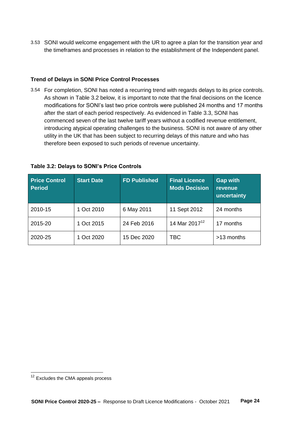3.53 SONI would welcome engagement with the UR to agree a plan for the transition year and the timeframes and processes in relation to the establishment of the Independent panel.

# **Trend of Delays in SONI Price Control Processes**

3.54 For completion, SONI has noted a recurring trend with regards delays to its price controls. As shown in Table 3.2 below, it is important to note that the final decisions on the licence modifications for SONI's last two price controls were published 24 months and 17 months after the start of each period respectively. As evidenced in Table 3.3, SONI has commenced seven of the last twelve tariff years without a codified revenue entitlement, introducing atypical operating challenges to the business. SONI is not aware of any other utility in the UK that has been subject to recurring delays of this nature and who has therefore been exposed to such periods of revenue uncertainty.

| <b>Price Control</b><br><b>Period</b> | <b>Start Date</b> | <b>FD Published</b> | <b>Final Licence</b><br><b>Mods Decision</b> | <b>Gap with</b><br>revenue<br>uncertainty |
|---------------------------------------|-------------------|---------------------|----------------------------------------------|-------------------------------------------|
| 2010-15                               | 1 Oct 2010        | 6 May 2011          | 11 Sept 2012                                 | 24 months                                 |
| 2015-20                               | 1 Oct 2015        | 24 Feb 2016         | 14 Mar 2017 <sup>12</sup>                    | 17 months                                 |
| 2020-25                               | 1 Oct 2020        | 15 Dec 2020         | TBC                                          | >13 months                                |

 $\overline{a}$ 

<sup>&</sup>lt;sup>12</sup> Excludes the CMA appeals process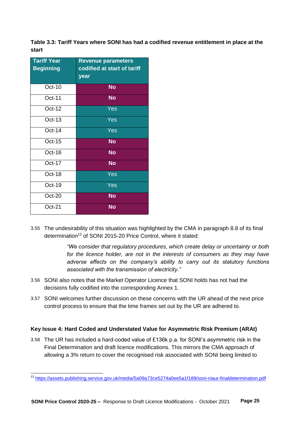**Table 3.3: Tariff Years where SONI has had a codified revenue entitlement in place at the start**

| <b>Tariff Year</b><br><b>Beginning</b> | <b>Revenue parameters</b><br>codified at start of tariff<br>year |
|----------------------------------------|------------------------------------------------------------------|
| Oct-10                                 | <b>No</b>                                                        |
| Oct-11                                 | <b>No</b>                                                        |
| $Oct-12$                               | Yes                                                              |
| Oct-13                                 | Yes                                                              |
| $Oct-14$                               | Yes                                                              |
| Oct-15                                 | <b>No</b>                                                        |
| Oct-16                                 | <b>No</b>                                                        |
| Oct-17                                 | <b>No</b>                                                        |
| Oct-18                                 | Yes                                                              |
| Oct-19                                 | Yes                                                              |
| Oct-20                                 | <b>No</b>                                                        |
| $Oct-21$                               | <b>No</b>                                                        |

3.55 The undesirability of this situation was highlighted by the CMA in paragraph 8.8 of its final determination<sup>13</sup> of SONI 2015-20 Price Control, where it stated:

> *"We consider that regulatory procedures, which create delay or uncertainty or both*  for the licence holder, are not in the interests of consumers as they may have *adverse effects on the company's ability to carry out its statutory functions associated with the transmission of electricity."*

- 3.56 SONI also notes that the Market Operator Licence that SONI holds has not had the decisions fully codified into the corresponding Annex 1.
- 3.57 SONI welcomes further discussion on these concerns with the UR ahead of the next price control process to ensure that the time frames set out by the UR are adhered to.

# **Key Issue 4: Hard Coded and Understated Value for Asymmetric Risk Premium (ARAt)**

3.58 The UR has included a hard-coded value of £136k p.a. for SONI's asymmetric risk in the Final Determination and draft licence modifications. This mirrors the CMA approach of allowing a 3% return to cover the recognised risk associated with SONI being limited to

<sup>&</sup>lt;sup>13</sup> <https://assets.publishing.service.gov.uk/media/5a09a73ce5274a0ee5a1f189/soni-niaur-finaldetermination.pdf>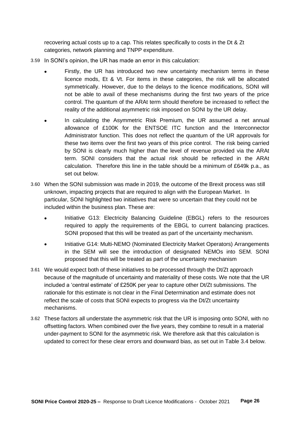recovering actual costs up to a cap. This relates specifically to costs in the Dt & Zt categories, network planning and TNPP expenditure.

- 3.59 In SONI's opinion, the UR has made an error in this calculation:
	- Firstly, the UR has introduced two new uncertainty mechanism terms in these licence mods, Et & Vt. For items in these categories, the risk will be allocated symmetrically. However, due to the delays to the licence modifications, SONI will not be able to avail of these mechanisms during the first two years of the price control. The quantum of the ARAt term should therefore be increased to reflect the reality of the additional asymmetric risk imposed on SONI by the UR delay.
	- In calculating the Asymmetric Risk Premium, the UR assumed a net annual allowance of £100K for the ENTSOE ITC function and the Interconnector Administrator function. This does not reflect the quantum of the UR approvals for these two items over the first two years of this price control. The risk being carried by SONI is clearly much higher than the level of revenue provided via the ARAt term. SONI considers that the actual risk should be reflected in the ARAt calculation. Therefore this line in the table should be a minimum of £649k p.a., as set out below.
- 3.60 When the SONI submission was made in 2019, the outcome of the Brexit process was still unknown, impacting projects that are required to align with the European Market. In particular, SONI highlighted two initiatives that were so uncertain that they could not be included within the business plan. These are:
	- Initiative G13: Electricity Balancing Guideline (EBGL) refers to the resources required to apply the requirements of the EBGL to current balancing practices. SONI proposed that this will be treated as part of the uncertainty mechanism.
	- Initiative G14: Multi-NEMO (Nominated Electricity Market Operators) Arrangements in the SEM will see the introduction of designated NEMOs into SEM. SONI proposed that this will be treated as part of the uncertainty mechanism
- 3.61 We would expect both of these initiatives to be processed through the Dt/Zt approach because of the magnitude of uncertainty and materiality of these costs. We note that the UR included a 'central estimate' of £250K per year to capture other Dt/Zt submissions. The rationale for this estimate is not clear in the Final Determination and estimate does not reflect the scale of costs that SONI expects to progress via the Dt/Zt uncertainty mechanisms.
- 3.62 These factors all understate the asymmetric risk that the UR is imposing onto SONI, with no offsetting factors. When combined over the five years, they combine to result in a material under-payment to SONI for the asymmetric risk. We therefore ask that this calculation is updated to correct for these clear errors and downward bias, as set out in Table 3.4 below.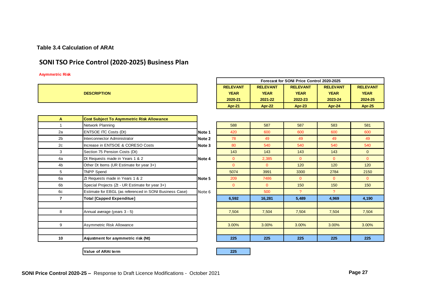# **Table 3.4 Calculation of ARAt**

# **SONI TSO Price Control (2020-2025) Business Plan**

#### **Asymmetric Risk**

|                    |                                                         |        |                 |                 | Forecast for SONI Price Control 2020-2025 |                 |                 |
|--------------------|---------------------------------------------------------|--------|-----------------|-----------------|-------------------------------------------|-----------------|-----------------|
|                    |                                                         |        | <b>RELEVANT</b> | <b>RELEVANT</b> | <b>RELEVANT</b>                           | <b>RELEVANT</b> | <b>RELEVANT</b> |
| <b>DESCRIPTION</b> |                                                         |        | <b>YEAR</b>     | <b>YEAR</b>     | <b>YEAR</b>                               | <b>YEAR</b>     | <b>YEAR</b>     |
|                    |                                                         |        | 2020-21         | 2021-22         | 2022-23                                   | 2023-24         | 2024-25         |
|                    |                                                         |        | <b>Apr-21</b>   | <b>Apr-22</b>   | <b>Apr-23</b>                             | Apr-24          | Apr-25          |
|                    |                                                         |        |                 |                 |                                           |                 |                 |
| A                  | <b>Cost Subject To Asymmetric Risk Allowance</b>        |        |                 |                 |                                           |                 |                 |
| 1                  | Network Planning                                        |        | 588             | 587             | 587                                       | 583             | 581             |
| 2a                 | <b>ENTSOE ITC Costs (Dt)</b>                            | Note 1 | 420             | 600             | 600                                       | 600             | 600             |
| 2 <sub>b</sub>     | Interconnector Administrator                            | Note 2 | 78              | 49              | 49                                        | 49              | 49              |
| 2c                 | Increase in ENTSOE & CORESO Costs                       | Note 3 | 80              | 540             | 540                                       | 540             | 540             |
| 3                  | Section 75 Pension Costs (Dt)                           |        | 143             | 143             | 143                                       | 143             | $\mathbf{0}$    |
| 4a                 | Dt Requests made in Years 1 & 2                         | Note 4 | $\overline{0}$  | 2.385           | $\mathbf{0}$                              | $\overline{0}$  | $\overline{0}$  |
| 4b                 | Other Dt Items (UR Estimate for year 3+)                |        | $\Omega$        | $\Omega$        | 120                                       | 120             | 120             |
| 5                  | <b>TNPP Spend</b>                                       |        | 5074            | 3991            | 3300                                      | 2784            | 2150            |
| 6a                 | Zt Requests made in Years 1 & 2                         | Note 5 | 209             | 7486            | $\Omega$                                  | $\Omega$        | $\Omega$        |
| 6b                 | Special Projects (Zt - UR Estimate for year 3+)         |        | $\Omega$        | $\Omega$        | 150                                       | 150             | 150             |
| 6c                 | Estimate for EBGL (as referenced in SONI Business Case) | Note 6 |                 | 500             | $\mathcal{P}$                             | $\mathcal{P}$   |                 |
| $\overline{7}$     | <b>Total [Capped Expenditue]</b>                        |        | 6,592           | 16.281          | 5,489                                     | 4,969           | 4,190           |
|                    |                                                         |        |                 |                 |                                           |                 |                 |
| 8                  | Annual average (years 3 - 5)                            |        | 7,504           | 7,504           | 7,504                                     | 7,504           | 7,504           |
|                    |                                                         |        |                 |                 |                                           |                 |                 |
| 9                  | Asymmetric Risk Allowance                               |        | 3.00%           | 3.00%           | 3.00%                                     | 3.00%           | 3.00%           |
|                    |                                                         |        |                 |                 |                                           |                 |                 |
| 10                 | Asjustment for asymmetric risk (Nt)                     |        | 225             | 225             | 225                                       | 225             | 225             |
|                    |                                                         |        |                 |                 |                                           |                 |                 |

**Value of ARAt term 225**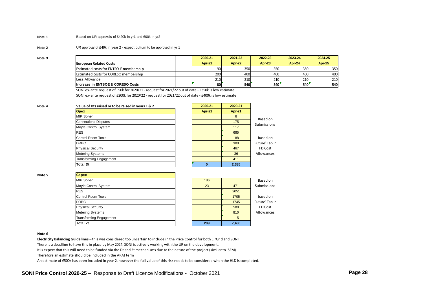#### **Note 1** Based on UR approvals of £420k in yr1 and 600k in yr2

#### **Note 2** UR approval of £49k in year 2 - expect outturn to be approved in yr 1

| Note <sub>3</sub> |                                               | 2020-21         | 2021-22             | 2022-23           | 2023-24 | 2024-25       |
|-------------------|-----------------------------------------------|-----------------|---------------------|-------------------|---------|---------------|
|                   | <b>European Related Costs</b>                 | <b>Apr-21</b>   | Apr-22              | <b>Apr-23</b>     | Apr-24  | <b>Apr-25</b> |
|                   | <b>Estimated costs for ENTSO-E membership</b> | 90              | 350                 | 350               | 350     | 350           |
|                   | Estimated costs for CORESO membership         | 200             | 400                 | 400               | 400     | 400           |
|                   | Less Allowance                                | $-210$          | $-210$              | $-210$            | $-210$  | $-210$        |
|                   | Increase in ENTSOE & CORESO Costs             | 80 <sup>r</sup> | 540 <sup>[1</sup> ] | 540 <sup>[1</sup> | 540     | 540           |

SONI ex-ante request of £90k for 2020/21 - request for 2021/22 out of date - £350k is low estimate

SONI ex-ante request of £200k for 2020/22 - request for 2021/22 out of date - £400k is low estimate

| Value of Dts raised or to be raised in years 1 & 2 | 2020-21 | 2020-21 |
|----------------------------------------------------|---------|---------|
| <b>Opex</b>                                        | Apr-21  | Apr-21  |
| <b>MIP Solver</b>                                  |         | 6       |
| <b>Connections Disputes</b>                        |         | 175     |
| Moyle Control System                               |         | 117     |
| <b>RES</b>                                         |         | 685     |
| Control Room Tools                                 |         | 188     |
| <b>DRBC</b>                                        |         | 300     |
| <b>Physical Security</b>                           |         | 467     |
| <b>Metering Systems</b>                            |         | 36      |
| <b>Transforming Engagement</b>                     |         | 411     |
| <b>Total Dt</b>                                    | o       | 2,385   |
|                                                    |         |         |

**Note 5** 

| <b>Capex</b>                   |     |       |
|--------------------------------|-----|-------|
| <b>MIP Solver</b>              | 186 |       |
| Moyle Control System           | 23  | 471   |
| <b>RES</b>                     |     | 2051  |
| Control Room Tools             |     | 1705  |
| <b>DRBC</b>                    |     | 1745  |
| <b>Physical Security</b>       |     | 588   |
| <b>Metering Systems</b>        |     | 810   |
| <b>Transforming Engagement</b> |     | 115   |
| <b>Total Zt</b>                | 209 | 7,486 |

| 186 |       | Based on        |
|-----|-------|-----------------|
| 23  | 471   | Submissions     |
|     | 2051  |                 |
|     | 1705  | based on        |
|     | 1745  | 'Future' Tab in |
|     | 588   | FD Cost         |
|     | 810   | Allowances      |
|     | 115   |                 |
| 209 | 7,486 |                 |
|     |       |                 |

based on 'Future' Tab in FD Cost Allowances

Based on Submissions

#### **Note 6**

**Electricity Balancing Guidelines** – this was considered too uncertain to include in the Price Control for both EirGrid and SONI

There is a deadline to have this in place by May 2024. SONI is actively working with the UR on the development.

It is expect that this will need to be funded via the Dt and Zt mechanisms due to the nature of the project (similar to iSEM)

Therefore an estimate should be included in the ARAt term

An estimate of £500k has been included in year 2, however the full value of this risk needs to be considered when the HLD is completed.

**SONI Price Control 2020-25 –** Response to Draft Licence Modifications - October 2021 **Page 28**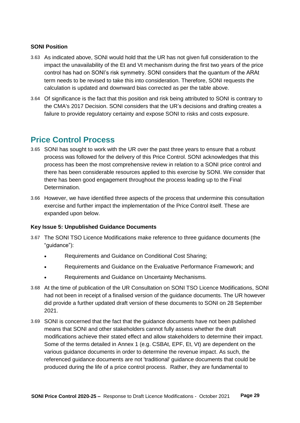# **SONI Position**

- 3.63 As indicated above, SONI would hold that the UR has not given full consideration to the impact the unavailability of the Et and Vt mechanism during the first two years of the price control has had on SONI's risk symmetry. SONI considers that the quantum of the ARAt term needs to be revised to take this into consideration. Therefore, SONI requests the calculation is updated and downward bias corrected as per the table above.
- 3.64 Of significance is the fact that this position and risk being attributed to SONI is contrary to the CMA's 2017 Decision. SONI considers that the UR's decisions and drafting creates a failure to provide regulatory certainty and expose SONI to risks and costs exposure.

# <span id="page-28-0"></span>**Price Control Process**

- 3.65 SONI has sought to work with the UR over the past three years to ensure that a robust process was followed for the delivery of this Price Control. SONI acknowledges that this process has been the most comprehensive review in relation to a SONI price control and there has been considerable resources applied to this exercise by SONI. We consider that there has been good engagement throughout the process leading up to the Final Determination.
- 3.66 However, we have identified three aspects of the process that undermine this consultation exercise and further impact the implementation of the Price Control itself. These are expanded upon below.

# **Key Issue 5: Unpublished Guidance Documents**

- 3.67 The SONI TSO Licence Modifications make reference to three guidance documents (the "guidance"):
	- Requirements and Guidance on Conditional Cost Sharing;
	- Requirements and Guidance on the Evaluative Performance Framework; and
	- Requirements and Guidance on Uncertainty Mechanisms.
- 3.68 At the time of publication of the UR Consultation on SONI TSO Licence Modifications, SONI had not been in receipt of a finalised version of the guidance documents. The UR however did provide a further updated draft version of these documents to SONI on 28 September 2021.
- 3.69 SONI is concerned that the fact that the guidance documents have not been published means that SONI and other stakeholders cannot fully assess whether the draft modifications achieve their stated effect and allow stakeholders to determine their impact. Some of the terms detailed in Annex 1 (e.g. CSBAt, EPF, Et, Vt) are dependent on the various guidance documents in order to determine the revenue impact. As such, the referenced guidance documents are not 'traditional' guidance documents that could be produced during the life of a price control process. Rather, they are fundamental to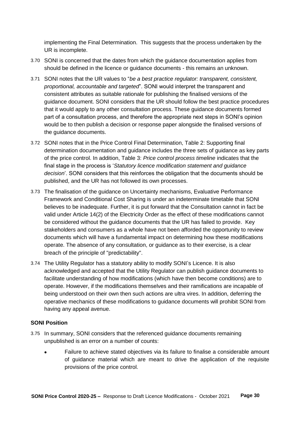implementing the Final Determination. This suggests that the process undertaken by the UR is incomplete.

- 3.70 SONI is concerned that the dates from which the guidance documentation applies from should be defined in the licence or guidance documents - this remains an unknown.
- 3.71 SONI notes that the UR values to "*be a best practice regulator: transparent, consistent, proportional, accountable and targeted*". SONI would interpret the transparent and consistent attributes as suitable rationale for publishing the finalised versions of the guidance document. SONI considers that the UR should follow the best practice procedures that it would apply to any other consultation process. These guidance documents formed part of a consultation process, and therefore the appropriate next steps in SONI's opinion would be to then publish a decision or response paper alongside the finalised versions of the guidance documents.
- 3.72 SONI notes that in the Price Control Final Determination, Table 2: Supporting final determination documentation and guidance includes the three sets of guidance as key parts of the price control. In addition, Table 3: *Price control process timeline* indicates that the final stage in the process is '*Statutory licence modification statement and guidance decision*'. SONI considers that this reinforces the obligation that the documents should be published, and the UR has not followed its own processes.
- 3.73 The finalisation of the guidance on Uncertainty mechanisms, Evaluative Performance Framework and Conditional Cost Sharing is under an indeterminate timetable that SONI believes to be inadequate. Further, it is put forward that the Consultation cannot in fact be valid under Article 14(2) of the Electricity Order as the effect of these modifications cannot be considered without the guidance documents that the UR has failed to provide. Key stakeholders and consumers as a whole have not been afforded the opportunity to review documents which will have a fundamental impact on determining how these modifications operate. The absence of any consultation, or guidance as to their exercise, is a clear breach of the principle of "predictability".
- 3.74 The Utility Regulator has a statutory ability to modify SONI's Licence. It is also acknowledged and accepted that the Utility Regulator can publish guidance documents to facilitate understanding of how modifications (which have then become conditions) are to operate. However, if the modifications themselves and their ramifications are incapable of being understood on their own then such actions are ultra vires. In addition, deferring the operative mechanics of these modifications to guidance documents will prohibit SONI from having any appeal avenue.

# **SONI Position**

- 3.75 In summary, SONI considers that the referenced guidance documents remaining unpublished is an error on a number of counts:
	- Failure to achieve stated objectives via its failure to finalise a considerable amount of guidance material which are meant to drive the application of the requisite provisions of the price control.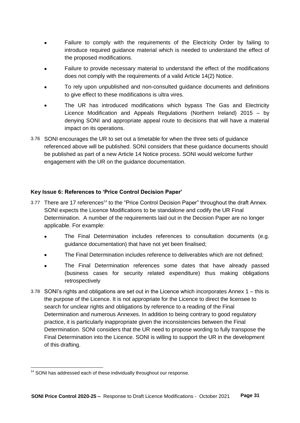- Failure to comply with the requirements of the Electricity Order by failing to introduce required guidance material which is needed to understand the effect of the proposed modifications.
- Failure to provide necessary material to understand the effect of the modifications does not comply with the requirements of a valid Article 14(2) Notice.
- To rely upon unpublished and non-consulted guidance documents and definitions to give effect to these modifications is ultra vires.
- The UR has introduced modifications which bypass The Gas and Electricity Licence Modification and Appeals Regulations (Northern Ireland) 2015 – by denying SONI and appropriate appeal route to decisions that will have a material impact on its operations.
- 3.76 SONI encourages the UR to set out a timetable for when the three sets of guidance referenced above will be published. SONI considers that these guidance documents should be published as part of a new Article 14 Notice process. SONI would welcome further engagement with the UR on the guidance documentation.

# **Key Issue 6: References to 'Price Control Decision Paper'**

- 3.77 There are 17 references<sup>14</sup> to the "Price Control Decision Paper" throughout the draft Annex. SONI expects the Licence Modifications to be standalone and codify the UR Final Determination. A number of the requirements laid out in the Decision Paper are no longer applicable. For example:
	- The Final Determination includes references to consultation documents (e.g. guidance documentation) that have not yet been finalised;
	- The Final Determination includes reference to deliverables which are not defined;
	- The Final Determination references some dates that have already passed (business cases for security related expenditure) thus making obligations retrospectively
- 3.78 SONI's rights and obligations are set out in the Licence which incorporates Annex 1 this is the purpose of the Licence. It is not appropriate for the Licence to direct the licensee to search for unclear rights and obligations by reference to a reading of the Final Determination and numerous Annexes. In addition to being contrary to good regulatory practice, it is particularly inappropriate given the inconsistencies between the Final Determination. SONI considers that the UR need to propose wording to fully transpose the Final Determination into the Licence. SONI is willing to support the UR in the development of this drafting.

 $\overline{a}$  $14$  SONI has addressed each of these individually throughout our response.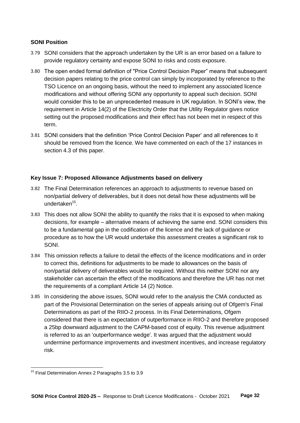# **SONI Position**

- 3.79 SONI considers that the approach undertaken by the UR is an error based on a failure to provide regulatory certainty and expose SONI to risks and costs exposure.
- 3.80 The open ended formal definition of "Price Control Decision Paper" means that subsequent decision papers relating to the price control can simply by incorporated by reference to the TSO Licence on an ongoing basis, without the need to implement any associated licence modifications and without offering SONI any opportunity to appeal such decision. SONI would consider this to be an unprecedented measure in UK regulation. In SONI's view, the requirement in Article 14(2) of the Electricity Order that the Utility Regulator gives notice setting out the proposed modifications and their effect has not been met in respect of this term.
- 3.81 SONI considers that the definition 'Price Control Decision Paper' and all references to it should be removed from the licence. We have commented on each of the 17 instances in section 4.3 of this paper.

# **Key Issue 7: Proposed Allowance Adjustments based on delivery**

- 3.82 The Final Determination references an approach to adjustments to revenue based on non/partial delivery of deliverables, but it does not detail how these adjustments will be undertaken<sup>15</sup>.
- 3.83 This does not allow SONI the ability to quantify the risks that it is exposed to when making decisions, for example – alternative means of achieving the same end. SONI considers this to be a fundamental gap in the codification of the licence and the lack of guidance or procedure as to how the UR would undertake this assessment creates a significant risk to SONI.
- 3.84 This omission reflects a failure to detail the effects of the licence modifications and in order to correct this, definitions for adjustments to be made to allowances on the basis of non/partial delivery of deliverables would be required. Without this neither SONI nor any stakeholder can ascertain the effect of the modifications and therefore the UR has not met the requirements of a compliant Article 14 (2) Notice.
- 3.85 In considering the above issues, SONI would refer to the analysis the CMA conducted as part of the Provisional Determination on the series of appeals arising out of Ofgem's Final Determinations as part of the RIIO-2 process. In its Final Determinations, Ofgem considered that there is an expectation of outperformance in RIIO-2 and therefore proposed a 25bp downward adjustment to the CAPM-based cost of equity. This revenue adjustment is referred to as an 'outperformance wedge'. It was argued that the adjustment would undermine performance improvements and investment incentives, and increase regulatory risk.

 $\overline{a}$ 

<sup>&</sup>lt;sup>15</sup> Final Determination Annex 2 Paragraphs 3.5 to 3.9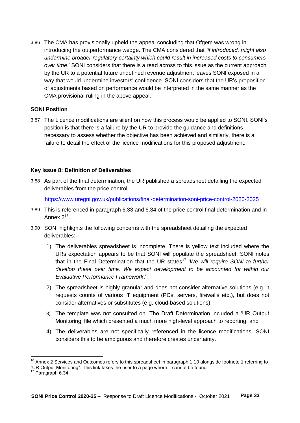3.86 The CMA has provisionally upheld the appeal concluding that Ofgem was wrong in introducing the outperformance wedge. The CMA considered that *'if introduced, might also undermine broader regulatory certainty which could result in increased costs to consumers over time*.' SONI considers that there is a read across to this issue as the current approach by the UR to a potential future undefined revenue adjustment leaves SONI exposed in a way that would undermine investors' confidence. SONI considers that the UR's proposition of adjustments based on performance would be interpreted in the same manner as the CMA provisional ruling in the above appeal.

# **SONI Position**

3.87 The Licence modifications are silent on how this process would be applied to SONI. SONI's position is that there is a failure by the UR to provide the guidance and definitions necessary to assess whether the objective has been achieved and similarly, there is a failure to detail the effect of the licence modifications for this proposed adjustment.

# **Key Issue 8: Definition of Deliverables**

3.88 As part of the final determination, the UR published a spreadsheet detailing the expected deliverables from the price control.

<https://www.uregni.gov.uk/publications/final-determination-soni-price-control-2020-2025>

- 3.89 This is referenced in paragraph 6.33 and 6.34 of the price control final determination and in Annex 2<sup>16</sup>.
- 3.90 SONI highlights the following concerns with the spreadsheet detailing the expected deliverables:
	- 1) The deliverables spreadsheet is incomplete. There is yellow text included where the URs expectation appears to be that SONI will populate the spreadsheet. SONI notes that in the Final Determination that the UR states<sup>17</sup> 'We will require SONI to further develop these over time. We expect development to be accounted for within our *Evaluative Performance Framework*.';
	- 2) The spreadsheet is highly granular and does not consider alternative solutions (e.g. it requests counts of various IT equipment (PCs, servers, firewalls etc.), but does not consider alternatives or substitutes (e.g. cloud-based solutions);
	- 3) The template was not consulted on. The Draft Determination included a 'UR Output Monitoring' file which presented a much more high-level approach to reporting; and
	- 4) The deliverables are not specifically referenced in the licence modifications. SONI considers this to be ambiguous and therefore creates uncertainty.

<sup>&</sup>lt;sup>16</sup> Annex 2 Services and Outcomes refers to this spreadsheet in paragraph 1.10 alongside footnote 1 referring to "UR Output Monitoring". This link takes the user to a page where it cannot be found.

<sup>&</sup>lt;sup>17</sup> Paragraph 6.34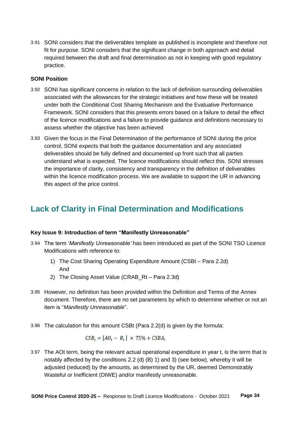3.91 SONI considers that the deliverables template as published is incomplete and therefore not fit for purpose. SONI considers that the significant change in both approach and detail required between the draft and final determination as not in keeping with good regulatory practice.

## **SONI Position**

- 3.92 SONI has significant concerns in relation to the lack of definition surrounding deliverables associated with the allowances for the strategic initiatives and how these will be treated under both the Conditional Cost Sharing Mechanism and the Evaluative Performance Framework. SONI considers that this presents errors based on a failure to detail the effect of the licence modifications and a failure to provide guidance and definitions necessary to assess whether the objective has been achieved
- 3.93 Given the focus in the Final Determination of the performance of SONI during the price control, SONI expects that both the guidance documentation and any associated deliverables should be fully defined and documented up front such that all parties understand what is expected. The licence modifications should reflect this. SONI stresses the importance of clarity, consistency and transparency in the definition of deliverables within the licence modification process. We are available to support the UR in advancing this aspect of the price control.

# <span id="page-33-0"></span>**Lack of Clarity in Final Determination and Modifications**

# **Key Issue 9: Introduction of term "Manifestly Unreasonable"**

- 3.94 The term '*Manifestly Unreasonable'* has been introduced as part of the SONI TSO Licence Modifications with reference to:
	- 1) The Cost Sharing Operating Expenditure Amount (CSBt Para 2.2d) And
	- 2) The Closing Asset Value (CRAB\_Rt Para 2.3d)
- 3.95 However, no definition has been provided within the Definition and Terms of the Annex document. Therefore, there are no set parameters by which to determine whether or not an item is "*Manifestly Unreasonable*".
- 3.96 The calculation for this amount CSBt (Para 2.2(d) is given by the formula:

$$
CSB_t = [AO_t - B_t] \times 75\% + CSBA_t
$$

3.97 The AOt term, being the relevant actual operational expenditure in year t, is the term that is notably affected by the conditions 2.2 (d) (B) 1) and 3) (see below), whereby it will be adjusted (reduced) by the amounts, as determined by the UR, deemed Demonstrably Wasteful or Inefficient (DIWE) *and/or* manifestly unreasonable.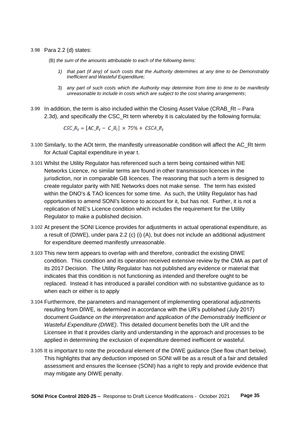#### 3.98 Para 2.2 (d) states:

- (B) *the sum of the amounts attributable to each of the following items:*
	- *1) that part (if any) of such costs that the Authority determines at any time to be Demonstrably Inefficient and Wasteful Expenditure;*
	- 3) *any part of such costs which the Authority may determine from time to time to be manifestly unreasonable to include in costs which are subject to the cost sharing arrangements*;
- 3.99 In addition, the term is also included within the Closing Asset Value (CRAB\_Rt Para 2.3d), and specifically the CSC\_Rt term whereby it is calculated by the following formula:

 $CSC_{-}R_{t} = [AC_{-}R_{t} - C_{-}R_{t}] \times 75\% + CSCA_{-}R_{t}$ 

- 3.100 Similarly, to the AOt term, the manifestly unreasonable condition will affect the AC\_Rt term for Actual Capital expenditure in year t.
- 3.101 Whilst the Utility Regulator has referenced such a term being contained within NIE Networks Licence, no similar terms are found in other transmission licences in the jurisdiction, nor in comparable GB licences. The reasoning that such a term is designed to create regulator parity with NIE Networks does not make sense. The term has existed within the DNO's & TAO licences for some time. As such, the Utility Regulator has had opportunities to amend SONI's licence to account for it, but has not. Further, it is not a replication of NIE's Licence condition which includes the requirement for the Utility Regulator to make a published decision.
- 3.102 At present the SONI Licence provides for adjustments in actual operational expenditure, as a result of (DIWE), under para 2.2 (c) (i) (A), but does not include an additional adjustment for expenditure deemed manifestly unreasonable.
- 3.103 This new term appears to overlap with and therefore, contradict the existing DIWE condition. This condition and its operation received extensive review by the CMA as part of its 2017 Decision. The Utility Regulator has not published any evidence or material that indicates that this condition is not functioning as intended and therefore ought to be replaced. Instead it has introduced a parallel condition with no substantive guidance as to when each or either is to apply
- 3.104 Furthermore, the parameters and management of implementing operational adjustments resulting from DIWE, is determined in accordance with the UR's published (July 2017) document *Guidance on the interpretation and application of the Demonstrably Inefficient or Wasteful Expenditure (DIWE)*. This detailed document benefits both the UR and the Licensee in that it provides clarity and understanding in the approach and processes to be applied in determining the exclusion of expenditure deemed inefficient or wasteful.
- 3.105 It is important to note the procedural element of the DIWE guidance (See flow chart below). This highlights that any deduction imposed on SONI will be as a result of a fair and detailed assessment and ensures the licensee (SONI) has a right to reply and provide evidence that may mitigate any DIWE penalty.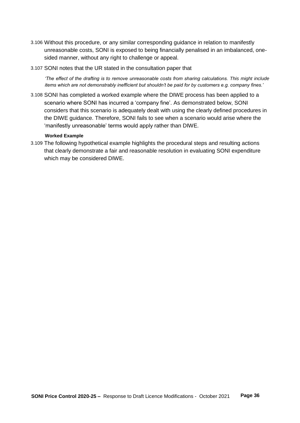- 3.106 Without this procedure, or any similar corresponding guidance in relation to manifestly unreasonable costs, SONI is exposed to being financially penalised in an imbalanced, onesided manner, without any right to challenge or appeal.
- 3.107 SONI notes that the UR stated in the consultation paper that

*'The effect of the drafting is to remove unreasonable costs from sharing calculations. This might include items which are not demonstrably inefficient but shouldn't be paid for by customers e.g. company fines.'*

3.108 SONI has completed a worked example where the DIWE process has been applied to a scenario where SONI has incurred a 'company fine'. As demonstrated below, SONI considers that this scenario is adequately dealt with using the clearly defined procedures in the DIWE guidance. Therefore, SONI fails to see when a scenario would arise where the 'manifestly unreasonable' terms would apply rather than DIWE.

#### **Worked Example**

3.109 The following hypothetical example highlights the procedural steps and resulting actions that clearly demonstrate a fair and reasonable resolution in evaluating SONI expenditure which may be considered DIWE.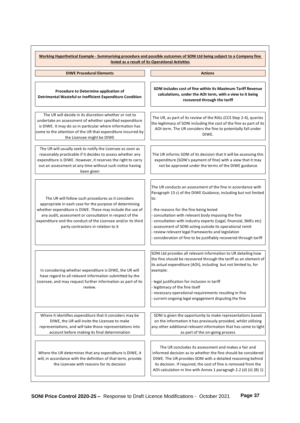|                                                                                                                                                                                                                                                                                                                                              | Working Hypothetical Example - Summarising procedure and possible outcomes of SONI Ltd being subject to a Company fine<br>levied as a result of its Operational Activities                                                                                                                                                                                                                                                                                                                             |
|----------------------------------------------------------------------------------------------------------------------------------------------------------------------------------------------------------------------------------------------------------------------------------------------------------------------------------------------|--------------------------------------------------------------------------------------------------------------------------------------------------------------------------------------------------------------------------------------------------------------------------------------------------------------------------------------------------------------------------------------------------------------------------------------------------------------------------------------------------------|
| <b>DIWE Procedural Elements</b>                                                                                                                                                                                                                                                                                                              | <b>Actions</b>                                                                                                                                                                                                                                                                                                                                                                                                                                                                                         |
| Procedure to Determine application of<br>Detrimental Wasteful or Inefficient Expenditure Condition                                                                                                                                                                                                                                           | SONI includes cost of fine within its Maximum Tariff Revenue<br>calculations, under the AOt term, with a view to it being<br>recovered through the tariff                                                                                                                                                                                                                                                                                                                                              |
| The UR will decide in its discretion whether or not to<br>undertake an assessment of whether specified expenditure<br>is DIWE. It may do so in particular where information has<br>come to the attention of the UR that expenditure incurred by<br>the Licensee might be DIWE                                                                | The UR, as part of its review of the RIGs (CCS Step 2-4), queries<br>the legitimacy of SONI including the cost of the fine as part of its<br>AOt term. The UR considers the fine to potentially fall under<br>DIWE.                                                                                                                                                                                                                                                                                    |
| The UR will usually seek to notify the Licensee as soon as<br>reasonably practicable if it decides to assess whether any<br>expenditure is DIWE. However, it reserves the right to carry<br>out an assessment at any time without such notice having<br>been given                                                                           | The UR informs SONI of its decision that it will be assessing this<br>expenditure (SONI's payment of fine) with a view that it may<br>not be approved under the terms of the DIWE guidance                                                                                                                                                                                                                                                                                                             |
| The UR will follow such procedures as it considers<br>appropriate in each case for the purpose of determining<br>whether expenditure is DIWE. These may include the use of<br>any audit, assessment or consultation in respect of the<br>expenditure and the conduct of the Licensee and/or its third<br>party contractors in relation to it | The UR conducts an assessment of the fine in accordance with<br>Paragraph 13 c) of the DIWE Guidance, including but not limited<br>to:<br>- the reasons for the fine being levied<br>- consultation with relevant body imposing the fine<br>- consultation with industry experts (Legal, financial, SMEs etc)<br>- assessment of SONI acting outside its operational remit<br>- review relevant legal frameworks and legislation<br>- consideration of fine to be justifiably recovered through tariff |
| in considering whether expenditure is DIWE, the UR will<br>have regard to all relevant information submitted by the<br>Licensee, and may request further information as part of its<br>review.                                                                                                                                               | SONI Ltd provides all relevant information to UR detailing how<br>the fine should be recovered through the tariff as an element of<br>its actual expenditure (AOt), including but not limited to, for<br>example:<br>- legal justification for inclusion in tariff<br>- legitimacy of the fine itself<br>- necessary operational requirements resulting in fine<br>current ongoing legal engagement disputing the fine                                                                                 |
| Where it identifies expenditure that it considers may be<br>DIWE, the UR will invite the Licensee to make<br>representations, and will take those representations into<br>account before making its final determination                                                                                                                      | SONI is given the opportunity to make representations based<br>on the information it has previously provided, whilst utilising<br>any other additional relevant information that has come to light<br>as part of the on-going process                                                                                                                                                                                                                                                                  |
| Where the UR determines that any expenditure is DIWE, it<br>will, in accordance with the definition of that term, provide<br>the Licensee with reasons for its decision                                                                                                                                                                      | The UR concludes its assessment and makes a fair and<br>informed decision as to whether the fine should be considered<br>DIWE. The UR provides SONI with a detailed reasoning behind<br>its decision. If required, the cost of fine is removed from the<br>AOt calculation in line with Annex 1 paragragh 2.2 (d) (ii) (B) 1)                                                                                                                                                                          |

 $\overline{a}$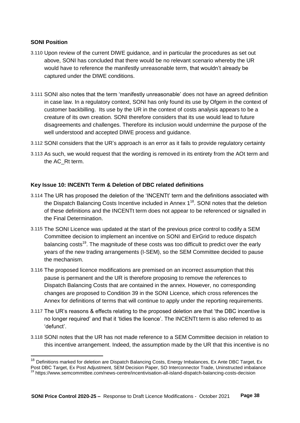# **SONI Position**

 $\overline{a}$ 

- 3.110 Upon review of the current DIWE guidance, and in particular the procedures as set out above, SONI has concluded that there would be no relevant scenario whereby the UR would have to reference the manifestly unreasonable term, that wouldn't already be captured under the DIWE conditions.
- 3.111 SONI also notes that the term 'manifestly unreasonable' does not have an agreed definition in case law. In a regulatory context, SONI has only found its use by Ofgem in the context of customer backbilling. Its use by the UR in the context of costs analysis appears to be a creature of its own creation. SONI therefore considers that its use would lead to future disagreements and challenges. Therefore its inclusion would undermine the purpose of the well understood and accepted DIWE process and guidance.
- 3.112 SONI considers that the UR's approach is an error as it fails to provide regulatory certainty
- 3.113 As such, we would request that the wording is removed in its entirety from the AOt term and the AC\_Rt term.

# **Key Issue 10: INCENTt Term & Deletion of DBC related definitions**

- 3.114 The UR has proposed the deletion of the 'INCENTt' term and the definitions associated with the Dispatch Balancing Costs Incentive included in Annex  $1^{18}$ . SONI notes that the deletion of these definitions and the INCENTt term does not appear to be referenced or signalled in the Final Determination.
- 3.115 The SONI Licence was updated at the start of the previous price control to codify a SEM Committee decision to implement an incentive on SONI and EirGrid to reduce dispatch balancing costs<sup>19</sup>. The magnitude of these costs was too difficult to predict over the early years of the new trading arrangements (I-SEM), so the SEM Committee decided to pause the mechanism.
- 3.116 The proposed licence modifications are premised on an incorrect assumption that this pause is permanent and the UR is therefore proposing to remove the references to Dispatch Balancing Costs that are contained in the annex. However, no corresponding changes are proposed to Condition 39 in the SONI Licence, which cross references the Annex for definitions of terms that will continue to apply under the reporting requirements.
- 3.117 The UR's reasons & effects relating to the proposed deletion are that 'the DBC incentive is no longer required' and that it 'tidies the licence'. The INCENTt term is also referred to as 'defunct'.
- 3.118 SONI notes that the UR has not made reference to a SEM Committee decision in relation to this incentive arrangement. Indeed, the assumption made by the UR that this incentive is no

<sup>&</sup>lt;sup>18</sup> Definitions marked for deletion are Dispatch Balancing Costs, Energy Imbalances, Ex Ante DBC Target, Ex Post DBC Target, Ex Post Adjustment, SEM Decision Paper, SO Interconnector Trade, Uninstructed imbalance

<sup>&</sup>lt;sup>19</sup> https://www.semcommittee.com/news-centre/incentivisation-all-island-dispatch-balancing-costs-decision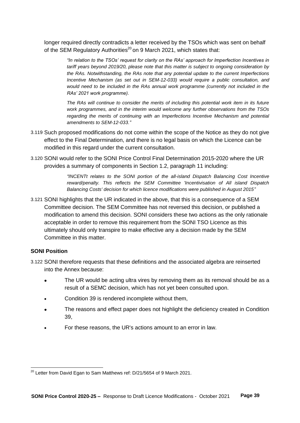longer required directly contradicts a letter received by the TSOs which was sent on behalf of the SEM Regulatory Authorities<sup>20</sup> on 9 March 2021, which states that:

> *"In relation to the TSOs' request for clarity on the RAs' approach for Imperfection Incentives in tariff years beyond 2019/20, please note that this matter is subject to ongoing consideration by the RAs. Notwithstanding, the RAs note that any potential update to the current Imperfections Incentive Mechanism (as set out in SEM-12-033) would require a public consultation, and would need to be included in the RAs annual work programme (currently not included in the RAs' 2021 work programme).*

> *The RAs will continue to consider the merits of including this potential work item in its future work programmes, and in the interim would welcome any further observations from the TSOs*  regarding the merits of continuing with an Imperfections Incentive Mechanism and potential *amendments to SEM-12-033."*

- 3.119 Such proposed modifications do not come within the scope of the Notice as they do not give effect to the Final Determination, and there is no legal basis on which the Licence can be modified in this regard under the current consultation.
- 3.120 SONI would refer to the SONI Price Control Final Determination 2015-2020 where the UR provides a summary of components in Section 1.2, paragraph 11 including:

*"INCENTt relates to the SONI portion of the all-island Dispatch Balancing Cost Incentive reward/penalty. This reflects the SEM Committee 'Incentivisation of All island Dispatch Balancing Costs' decision for which licence modifications were published in August 2015"*

3.121 SONI highlights that the UR indicated in the above, that this is a consequence of a SEM Committee decision. The SEM Committee has not reversed this decision, or published a modification to amend this decision. SONI considers these two actions as the only rationale acceptable in order to remove this requirement from the SONI TSO Licence as this ultimately should only transpire to make effective any a decision made by the SEM Committee in this matter.

# **SONI Position**

 $\overline{a}$ 

- 3.122 SONI therefore requests that these definitions and the associated algebra are reinserted into the Annex because:
	- The UR would be acting ultra vires by removing them as its removal should be as a result of a SEMC decision, which has not yet been consulted upon.
	- Condition 39 is rendered incomplete without them,
	- The reasons and effect paper does not highlight the deficiency created in Condition 39,
	- For these reasons, the UR's actions amount to an error in law.

 $^{20}$  Letter from David Egan to Sam Matthews ref: D/21/5654 of 9 March 2021.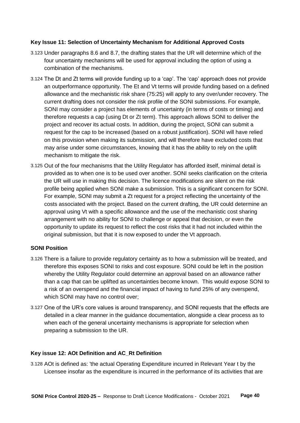# **Key Issue 11: Selection of Uncertainty Mechanism for Additional Approved Costs**

- 3.123 Under paragraphs 8.6 and 8.7, the drafting states that the UR will determine which of the four uncertainty mechanisms will be used for approval including the option of using a combination of the mechanisms.
- 3.124 The Dt and Zt terms will provide funding up to a 'cap'. The 'cap' approach does not provide an outperformance opportunity. The Et and Vt terms will provide funding based on a defined allowance and the mechanistic risk share (75:25) will apply to any over/under recovery. The current drafting does not consider the risk profile of the SONI submissions. For example, SONI may consider a project has elements of uncertainty (in terms of costs or timing) and therefore requests a cap (using Dt or Zt term). This approach allows SONI to deliver the project and recover its actual costs. In addition, during the project, SONI can submit a request for the cap to be increased (based on a robust justification). SONI will have relied on this provision when making its submission, and will therefore have excluded costs that may arise under some circumstances, knowing that it has the ability to rely on the uplift mechanism to mitigate the risk.
- 3.125 Out of the four mechanisms that the Utility Regulator has afforded itself, minimal detail is provided as to when one is to be used over another. SONI seeks clarification on the criteria the UR will use in making this decision. The licence modifications are silent on the risk profile being applied when SONI make a submission. This is a significant concern for SONI. For example, SONI may submit a Zt request for a project reflecting the uncertainty of the costs associated with the project. Based on the current drafting, the UR could determine an approval using Vt with a specific allowance and the use of the mechanistic cost sharing arrangement with no ability for SONI to challenge or appeal that decision, or even the opportunity to update its request to reflect the cost risks that it had not included within the original submission, but that it is now exposed to under the Vt approach.

# **SONI Position**

- 3.126 There is a failure to provide regulatory certainty as to how a submission will be treated, and therefore this exposes SONI to risks and cost exposure. SONI could be left in the position whereby the Utility Regulator could determine an approval based on an allowance rather than a cap that can be uplifted as uncertainties become known. This would expose SONI to a risk of an overspend and the financial impact of having to fund 25% of any overspend, which SONI may have no control over;
- 3.127 One of the UR's core values is around transparency, and SONI requests that the effects are detailed in a clear manner in the guidance documentation, alongside a clear process as to when each of the general uncertainty mechanisms is appropriate for selection when preparing a submission to the UR.

# **Key issue 12: AOt Definition and AC\_Rt Definition**

3.128 AOt is defined as: 'the actual Operating Expenditure incurred in Relevant Year t by the Licensee insofar as the expenditure is incurred in the performance of its activities that are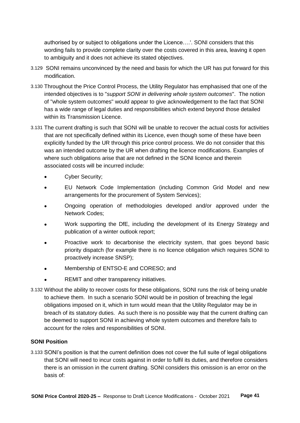authorised by or subject to obligations under the Licence….'. SONI considers that this wording fails to provide complete clarity over the costs covered in this area, leaving it open to ambiguity and it does not achieve its stated objectives.

- 3.129 SONI remains unconvinced by the need and basis for which the UR has put forward for this modification.
- 3.130 Throughout the Price Control Process, the Utility Regulator has emphasised that one of the intended objectives is to "*support SONI in delivering whole system outcomes*". The notion of "whole system outcomes" would appear to give acknowledgement to the fact that SONI has a wide range of legal duties and responsibilities which extend beyond those detailed within its Transmission Licence.
- 3.131 The current drafting is such that SONI will be unable to recover the actual costs for activities that are not specifically defined within its Licence, even though some of these have been explicitly funded by the UR through this price control process. We do not consider that this was an intended outcome by the UR when drafting the licence modifications. Examples of where such obligations arise that are not defined in the SONI licence and therein associated costs will be incurred include:
	- Cyber Security;
	- EU Network Code Implementation (including Common Grid Model and new arrangements for the procurement of System Services);
	- Ongoing operation of methodologies developed and/or approved under the Network Codes;
	- Work supporting the DfE, including the development of its Energy Strategy and publication of a winter outlook report;
	- Proactive work to decarbonise the electricity system, that goes beyond basic priority dispatch (for example there is no licence obligation which requires SONI to proactively increase SNSP);
	- Membership of ENTSO-E and CORESO; and
	- REMIT and other transparency initiatives.
- 3.132 Without the ability to recover costs for these obligations, SONI runs the risk of being unable to achieve them. In such a scenario SONI would be in position of breaching the legal obligations imposed on it, which in turn would mean that the Utility Regulator may be in breach of its statutory duties. As such there is no possible way that the current drafting can be deemed to support SONI in achieving whole system outcomes and therefore fails to account for the roles and responsibilities of SONI.

# **SONI Position**

3.133 SONI's position is that the current definition does not cover the full suite of legal obligations that SONI will need to incur costs against in order to fulfil its duties, and therefore considers there is an omission in the current drafting. SONI considers this omission is an error on the basis of: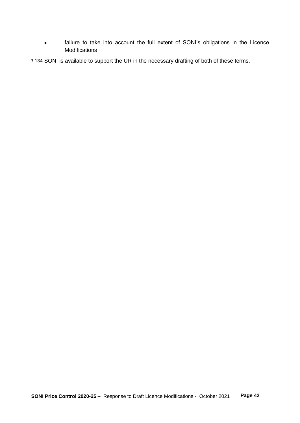failure to take into account the full extent of SONI's obligations in the Licence Modifications

3.134 SONI is available to support the UR in the necessary drafting of both of these terms.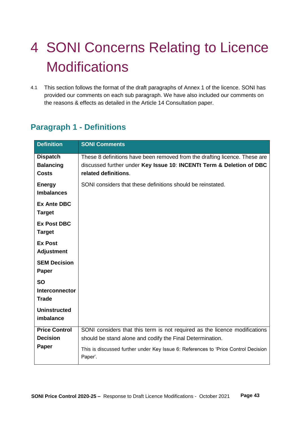# <span id="page-42-0"></span>4 SONI Concerns Relating to Licence **Modifications**

4.1 This section follows the format of the draft paragraphs of Annex 1 of the licence. SONI has provided our comments on each sub paragraph. We have also included our comments on the reasons & effects as detailed in the Article 14 Consultation paper.

| <b>Definition</b>    | <b>SONI Comments</b>                                                                          |
|----------------------|-----------------------------------------------------------------------------------------------|
|                      |                                                                                               |
| <b>Dispatch</b>      | These 8 definitions have been removed from the drafting licence. These are                    |
| <b>Balancing</b>     | discussed further under Key Issue 10: INCENTt Term & Deletion of DBC                          |
| <b>Costs</b>         | related definitions.                                                                          |
| <b>Energy</b>        | SONI considers that these definitions should be reinstated.                                   |
| <b>Imbalances</b>    |                                                                                               |
| <b>Ex Ante DBC</b>   |                                                                                               |
| <b>Target</b>        |                                                                                               |
| <b>Ex Post DBC</b>   |                                                                                               |
| <b>Target</b>        |                                                                                               |
| <b>Ex Post</b>       |                                                                                               |
| <b>Adjustment</b>    |                                                                                               |
| <b>SEM Decision</b>  |                                                                                               |
| Paper                |                                                                                               |
| <b>SO</b>            |                                                                                               |
| Interconnector       |                                                                                               |
| <b>Trade</b>         |                                                                                               |
| <b>Uninstructed</b>  |                                                                                               |
| imbalance            |                                                                                               |
| <b>Price Control</b> | SONI considers that this term is not required as the licence modifications                    |
| <b>Decision</b>      | should be stand alone and codify the Final Determination.                                     |
| Paper                | This is discussed further under Key Issue 6: References to 'Price Control Decision<br>Paper'. |

# <span id="page-42-1"></span>**Paragraph 1 - Definitions**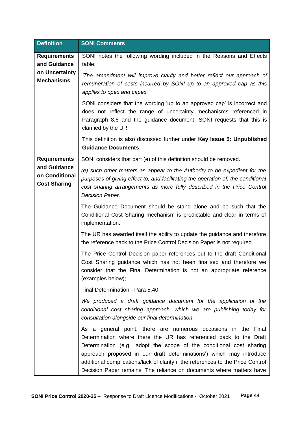| <b>Definition</b>                                     | <b>SONI Comments</b>                                                                                                                                                                                                                                                                                                                                                                                                                         |
|-------------------------------------------------------|----------------------------------------------------------------------------------------------------------------------------------------------------------------------------------------------------------------------------------------------------------------------------------------------------------------------------------------------------------------------------------------------------------------------------------------------|
| <b>Requirements</b><br>and Guidance                   | SONI notes the following wording included in the Reasons and Effects<br>table:                                                                                                                                                                                                                                                                                                                                                               |
| on Uncertainty<br><b>Mechanisms</b>                   | 'The amendment will improve clarity and better reflect our approach of<br>remuneration of costs incurred by SONI up to an approved cap as this<br>applies to opex and capex.'                                                                                                                                                                                                                                                                |
|                                                       | SONI considers that the wording 'up to an approved cap' is incorrect and<br>does not reflect the range of uncertainty mechanisms referenced in<br>Paragraph 8.6 and the guidance document. SONI requests that this is<br>clarified by the UR.                                                                                                                                                                                                |
|                                                       | This definition is also discussed further under Key Issue 5: Unpublished<br><b>Guidance Documents.</b>                                                                                                                                                                                                                                                                                                                                       |
| <b>Requirements</b>                                   | SONI considers that part (e) of this definition should be removed.                                                                                                                                                                                                                                                                                                                                                                           |
| and Guidance<br>on Conditional<br><b>Cost Sharing</b> | (e) such other matters as appear to the Authority to be expedient for the<br>purposes of giving effect to, and facilitating the operation of, the conditional<br>cost sharing arrangements as more fully described in the Price Control<br>Decision Paper.                                                                                                                                                                                   |
|                                                       | The Guidance Document should be stand alone and be such that the<br>Conditional Cost Sharing mechanism is predictable and clear in terms of<br>implementation.                                                                                                                                                                                                                                                                               |
|                                                       | The UR has awarded itself the ability to update the guidance and therefore<br>the reference back to the Price Control Decision Paper is not required.                                                                                                                                                                                                                                                                                        |
|                                                       | The Price Control Decision paper references out to the draft Conditional<br>Cost Sharing guidance which has not been finalised and therefore we<br>consider that the Final Determination is not an appropriate reference<br>(examples below);                                                                                                                                                                                                |
|                                                       | Final Determination - Para 5.40                                                                                                                                                                                                                                                                                                                                                                                                              |
|                                                       | We produced a draft guidance document for the application of the<br>conditional cost sharing approach, which we are publishing today for<br>consultation alongside our final determination.                                                                                                                                                                                                                                                  |
|                                                       | As a general point, there are numerous occasions in the Final<br>Determination where there the UR has referenced back to the Draft<br>Determination (e.g. 'adopt the scope of the conditional cost sharing<br>approach proposed in our draft determinations') which may introduce<br>additional complications/lack of clarity if the references to the Price Control<br>Decision Paper remains. The reliance on documents where matters have |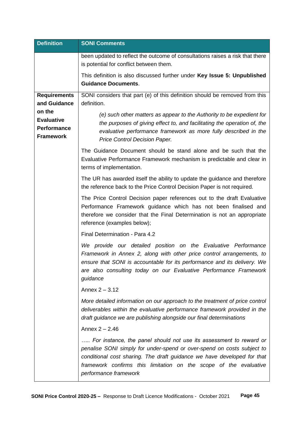| <b>Definition</b>                                                     | <b>SONI Comments</b>                                                                                                                                                                                                                                                                                                  |
|-----------------------------------------------------------------------|-----------------------------------------------------------------------------------------------------------------------------------------------------------------------------------------------------------------------------------------------------------------------------------------------------------------------|
|                                                                       | been updated to reflect the outcome of consultations raises a risk that there<br>is potential for conflict between them.                                                                                                                                                                                              |
|                                                                       | This definition is also discussed further under Key Issue 5: Unpublished<br><b>Guidance Documents.</b>                                                                                                                                                                                                                |
| <b>Requirements</b><br>and Guidance                                   | SONI considers that part (e) of this definition should be removed from this<br>definition.                                                                                                                                                                                                                            |
| on the<br><b>Evaluative</b><br><b>Performance</b><br><b>Framework</b> | (e) such other matters as appear to the Authority to be expedient for<br>the purposes of giving effect to, and facilitating the operation of, the<br>evaluative performance framework as more fully described in the<br>Price Control Decision Paper.                                                                 |
|                                                                       | The Guidance Document should be stand alone and be such that the<br>Evaluative Performance Framework mechanism is predictable and clear in<br>terms of implementation.                                                                                                                                                |
|                                                                       | The UR has awarded itself the ability to update the guidance and therefore<br>the reference back to the Price Control Decision Paper is not required.                                                                                                                                                                 |
|                                                                       | The Price Control Decision paper references out to the draft Evaluative<br>Performance Framework guidance which has not been finalised and<br>therefore we consider that the Final Determination is not an appropriate<br>reference (examples below);                                                                 |
|                                                                       | Final Determination - Para 4.2                                                                                                                                                                                                                                                                                        |
|                                                                       | We provide our detailed position on the Evaluative Performance<br>Framework in Annex 2, along with other price control arrangements, to<br>ensure that SONI is accountable for its performance and its delivery. We<br>are also consulting today on our Evaluative Performance Framework<br>guidance                  |
|                                                                       | Annex $2 - 3.12$                                                                                                                                                                                                                                                                                                      |
|                                                                       | More detailed information on our approach to the treatment of price control<br>deliverables within the evaluative performance framework provided in the<br>draft guidance we are publishing alongside our final determinations                                                                                        |
|                                                                       | Annex $2 - 2.46$                                                                                                                                                                                                                                                                                                      |
|                                                                       | For instance, the panel should not use its assessment to reward or<br>penalise SONI simply for under-spend or over-spend on costs subject to<br>conditional cost sharing. The draft guidance we have developed for that<br>framework confirms this limitation on the scope of the evaluative<br>performance framework |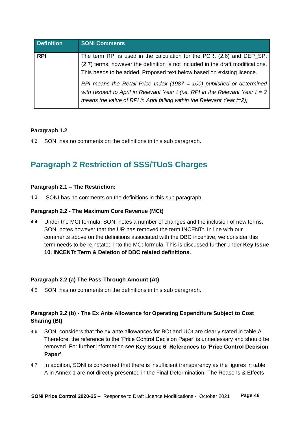| <b>Definition</b> | <b>SONI Comments</b>                                                                                                                                                                                                                                                                                                                                                                                                                                                      |
|-------------------|---------------------------------------------------------------------------------------------------------------------------------------------------------------------------------------------------------------------------------------------------------------------------------------------------------------------------------------------------------------------------------------------------------------------------------------------------------------------------|
| <b>RPI</b>        | The term RPI is used in the calculation for the PCRt (2.6) and DEP_SPt<br>(2.7) terms, however the definition is not included in the draft modifications.<br>This needs to be added. Proposed text below based on existing licence.<br>RPI means the Retail Price Index (1987 = 100) published or determined<br>with respect to April in Relevant Year t (i.e. RPI in the Relevant Year $t = 2$<br>means the value of RPI in April falling within the Relevant Year t=2); |

# **Paragraph 1.2**

4.2 SONI has no comments on the definitions in this sub paragraph.

# <span id="page-45-0"></span>**Paragraph 2 Restriction of SSS/TUoS Charges**

# **Paragraph 2.1 – The Restriction:**

4.3 SONI has no comments on the definitions in this sub paragraph.

# **Paragraph 2.2 - The Maximum Core Revenue (MCt)**

4.4 Under the MCt formula, SONI notes a number of changes and the inclusion of new terms. SONI notes however that the UR has removed the term INCENTt. In line with our comments above on the definitions associated with the DBC incentive, we consider this term needs to be reinstated into the MCt formula. This is discussed further under **Key Issue 10**: **INCENTt Term & Deletion of DBC related definitions**.

# **Paragraph 2.2 (a) The Pass-Through Amount (At)**

4.5 SONI has no comments on the definitions in this sub paragraph.

# **Paragraph 2.2 (b) - The Ex Ante Allowance for Operating Expenditure Subject to Cost Sharing (Bt)**

- 4.6 SONI considers that the ex-ante allowances for BOt and UOt are clearly stated in table A. Therefore, the reference to the 'Price Control Decision Paper' is unnecessary and should be removed. For further information see **Key Issue 6**: **References to 'Price Control Decision Paper'**.
- 4.7 In addition, SONI is concerned that there is insufficient transparency as the figures in table A in Annex 1 are not directly presented in the Final Determination. The Reasons & Effects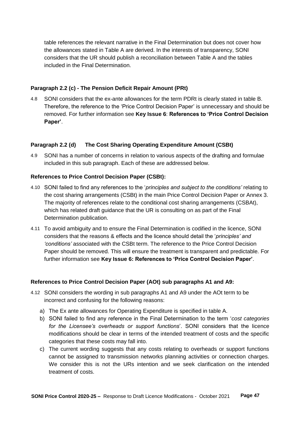table references the relevant narrative in the Final Determination but does not cover how the allowances stated in Table A are derived. In the interests of transparency, SONI considers that the UR should publish a reconciliation between Table A and the tables included in the Final Determination.

## **Paragraph 2.2 (c) - The Pension Deficit Repair Amount (PRt)**

4.8 SONI considers that the ex-ante allowances for the term PDRt is clearly stated in table B. Therefore, the reference to the 'Price Control Decision Paper' is unnecessary and should be removed. For further information see **Key Issue 6**: **References to 'Price Control Decision Paper'**.

## **Paragraph 2.2 (d) The Cost Sharing Operating Expenditure Amount (CSBt)**

4.9 SONI has a number of concerns in relation to various aspects of the drafting and formulae included in this sub paragraph. Each of these are addressed below.

## **References to Price Control Decision Paper (CSBt):**

- 4.10 SONI failed to find any references to the '*principles and subject to the conditions'* relating to the cost sharing arrangements (CSBt) in the main Price Control Decision Paper or Annex 3. The majority of references relate to the conditional cost sharing arrangements (CSBAt), which has related draft guidance that the UR is consulting on as part of the Final Determination publication.
- 4.11 To avoid ambiguity and to ensure the Final Determination is codified in the licence, SONI considers that the reasons & effects and the licence should detail the '*principles' and 'conditions'* associated with the CSBt term. The reference to the Price Control Decision Paper should be removed. This will ensure the treatment is transparent and predictable. For further information see **Key Issue 6: References to 'Price Control Decision Paper'**.

#### **References to Price Control Decision Paper (AOt) sub paragraphs A1 and A9:**

- 4.12 SONI considers the wording in sub paragraphs A1 and A9 under the AOt term to be incorrect and confusing for the following reasons:
	- a) The Ex ante allowances for Operating Expenditure is specified in table A.
	- b) SONI failed to find any reference in the Final Determination to the term '*cost categories for the Licensee's overheads or support functions*'. SONI considers that the licence modifications should be clear in terms of the intended treatment of costs and the specific categories that these costs may fall into.
	- c) The current wording suggests that any costs relating to overheads or support functions cannot be assigned to transmission networks planning activities or connection charges. We consider this is not the URs intention and we seek clarification on the intended treatment of costs.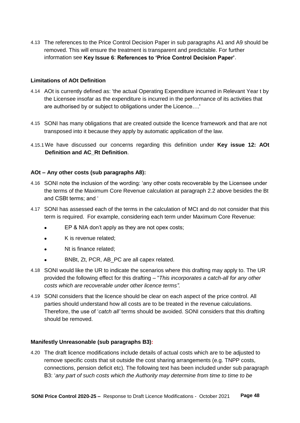4.13 The references to the Price Control Decision Paper in sub paragraphs A1 and A9 should be removed. This will ensure the treatment is transparent and predictable. For further information see **Key Issue 6**: **References to 'Price Control Decision Paper'**.

## **Limitations of AOt Definition**

- 4.14 AOt is currently defined as: 'the actual Operating Expenditure incurred in Relevant Year t by the Licensee insofar as the expenditure is incurred in the performance of its activities that are authorised by or subject to obligations under the Licence….'
- 4.15 SONI has many obligations that are created outside the licence framework and that are not transposed into it because they apply by automatic application of the law.
- 4.15.1 We have discussed our concerns regarding this definition under **Key issue 12: AOt Definition and AC\_Rt Definition**.

## **AOt – Any other costs (sub paragraphs A8):**

- 4.16 SONI note the inclusion of the wording: 'any other costs recoverable by the Licensee under the terms of the Maximum Core Revenue calculation at paragraph 2.2 above besides the Bt and CSBt terms; and '
- 4.17 SONI has assessed each of the terms in the calculation of MCt and do not consider that this term is required. For example, considering each term under Maximum Core Revenue:
	- EP & NIA don't apply as they are not opex costs;
	- K is revenue related;
	- Nt is finance related;
	- BNBt, Zt, PCR, AB\_PC are all capex related.
- 4.18 SONI would like the UR to indicate the scenarios where this drafting may apply to. The UR provided the following effect for this drafting – "*This incorporates a catch-all for any other costs which are recoverable under other licence terms".*
- 4.19 SONI considers that the licence should be clear on each aspect of the price control. All parties should understand how all costs are to be treated in the revenue calculations. Therefore, the use of '*catch all'* terms should be avoided. SONI considers that this drafting should be removed.

#### **Manifestly Unreasonable (sub paragraphs B3):**

4.20 The draft licence modifications include details of actual costs which are to be adjusted to remove specific costs that sit outside the cost sharing arrangements (e.g. TNPP costs, connections, pension deficit etc). The following text has been included under sub paragraph B3: '*any part of such costs which the Authority may determine from time to time to be*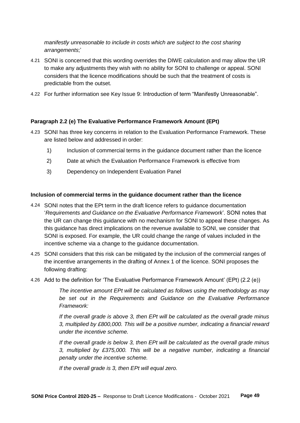*manifestly unreasonable to include in costs which are subject to the cost sharing arrangements*;'

- 4.21 SONI is concerned that this wording overrides the DIWE calculation and may allow the UR to make any adjustments they wish with no ability for SONI to challenge or appeal. SONI considers that the licence modifications should be such that the treatment of costs is predictable from the outset.
- 4.22 For further information see Key Issue 9: Introduction of term "Manifestly Unreasonable".

## **Paragraph 2.2 (e) The Evaluative Performance Framework Amount (EPt)**

- 4.23 SONI has three key concerns in relation to the Evaluation Performance Framework. These are listed below and addressed in order:
	- 1) Inclusion of commercial terms in the guidance document rather than the licence
	- 2) Date at which the Evaluation Performance Framework is effective from
	- 3) Dependency on Independent Evaluation Panel

#### **Inclusion of commercial terms in the guidance document rather than the licence**

- 4.24 SONI notes that the EPt term in the draft licence refers to guidance documentation '*Requirements and Guidance on the Evaluative Performance Framework*'. SONI notes that the UR can change this guidance with no mechanism for SONI to appeal these changes. As this guidance has direct implications on the revenue available to SONI, we consider that SONI is exposed. For example, the UR could change the range of values included in the incentive scheme via a change to the guidance documentation.
- 4.25 SONI considers that this risk can be mitigated by the inclusion of the commercial ranges of the incentive arrangements in the drafting of Annex 1 of the licence. SONI proposes the following drafting:
- 4.26 Add to the definition for 'The Evaluative Performance Framework Amount' (EPt) (2.2 (e))

*The incentive amount EPt will be calculated as follows using the methodology as may be set out in the Requirements and Guidance on the Evaluative Performance Framework:*

*If the overall grade is above 3, then EPt will be calculated as the overall grade minus 3, multiplied by £800,000. This will be a positive number, indicating a financial reward under the incentive scheme.*

*If the overall grade is below 3, then EPt will be calculated as the overall grade minus 3, multiplied by £375,000. This will be a negative number, indicating a financial penalty under the incentive scheme.*

*If the overall grade is 3, then EPt will equal zero.*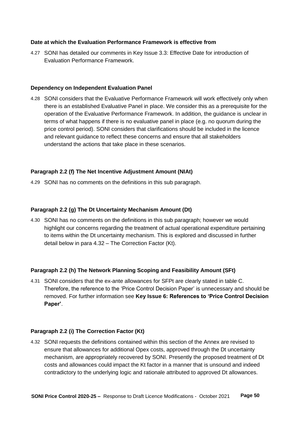# **Date at which the Evaluation Performance Framework is effective from**

4.27 SONI has detailed our comments in Key Issue 3.3: Effective Date for introduction of Evaluation Performance Framework.

### **Dependency on Independent Evaluation Panel**

4.28 SONI considers that the Evaluative Performance Framework will work effectively only when there is an established Evaluative Panel in place. We consider this as a prerequisite for the operation of the Evaluative Performance Framework. In addition, the guidance is unclear in terms of what happens if there is no evaluative panel in place (e.g. no quorum during the price control period). SONI considers that clarifications should be included in the licence and relevant guidance to reflect these concerns and ensure that all stakeholders understand the actions that take place in these scenarios.

## **Paragraph 2.2 (f) The Net Incentive Adjustment Amount (NIAt)**

4.29 SONI has no comments on the definitions in this sub paragraph.

## **Paragraph 2.2 (g) The Dt Uncertainty Mechanism Amount (Dt)**

4.30 SONI has no comments on the definitions in this sub paragraph; however we would highlight our concerns regarding the treatment of actual operational expenditure pertaining to items within the Dt uncertainty mechanism. This is explored and discussed in further detail below in para 4.32 – The Correction Factor (Kt).

# **Paragraph 2.2 (h) The Network Planning Scoping and Feasibility Amount (SFt)**

4.31 SONI considers that the ex-ante allowances for SFPt are clearly stated in table C. Therefore, the reference to the 'Price Control Decision Paper' is unnecessary and should be removed. For further information see **Key Issue 6: References to 'Price Control Decision Paper'**.

#### **Paragraph 2.2 (i) The Correction Factor (Kt)**

4.32 SONI requests the definitions contained within this section of the Annex are revised to ensure that allowances for additional Opex costs, approved through the Dt uncertainty mechanism, are appropriately recovered by SONI. Presently the proposed treatment of Dt costs and allowances could impact the Kt factor in a manner that is unsound and indeed contradictory to the underlying logic and rationale attributed to approved Dt allowances.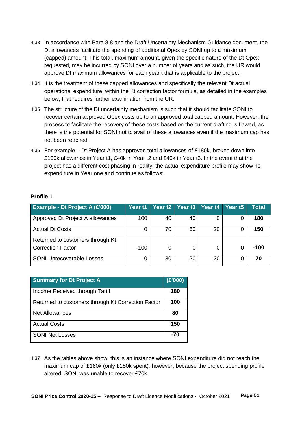- 4.33 In accordance with Para 8.8 and the Draft Uncertainty Mechanism Guidance document, the Dt allowances facilitate the spending of additional Opex by SONI up to a maximum (capped) amount. This total, maximum amount, given the specific nature of the Dt Opex requested, may be incurred by SONI over a number of years and as such, the UR would approve Dt maximum allowances for each year t that is applicable to the project.
- 4.34 It is the treatment of these capped allowances and specifically the relevant Dt actual operational expenditure, within the Kt correction factor formula, as detailed in the examples below, that requires further examination from the UR.
- 4.35 The structure of the Dt uncertainty mechanism is such that it should facilitate SONI to recover certain approved Opex costs up to an approved total capped amount. However, the process to facilitate the recovery of these costs based on the current drafting is flawed, as there is the potential for SONI not to avail of these allowances even if the maximum cap has not been reached.
- 4.36 For example Dt Project A has approved total allowances of £180k, broken down into £100k allowance in Year t1, £40k in Year t2 and £40k in Year t3. In the event that the project has a different cost phasing in reality, the actual expenditure profile may show no expenditure in Year one and continue as follows:

# **Profile 1**

| Example - Dt Project A (£'000)   | Year t1. |    | Year t2 Year t3 | Year $t4$ | Year <sub>t5</sub> | <b>Total</b> |
|----------------------------------|----------|----|-----------------|-----------|--------------------|--------------|
| Approved Dt Project A allowances | 100      | 40 | 40              |           |                    | 180          |
| <b>Actual Dt Costs</b>           |          | 70 | 60              | 20        |                    | 150          |
| Returned to customers through Kt |          |    |                 |           |                    |              |
| <b>Correction Factor</b>         | $-100$   |    |                 | 0         |                    | $-100$       |
| <b>SONI Unrecoverable Losses</b> |          | 30 | 20              | 20        |                    | 70           |

| <b>Summary for Dt Project A</b>                    | (E'000) |
|----------------------------------------------------|---------|
| Income Received through Tariff                     | 180     |
| Returned to customers through Kt Correction Factor | 100     |
| <b>Net Allowances</b>                              | 80      |
| <b>Actual Costs</b>                                | 150     |
| <b>SONI Net Losses</b>                             | -70     |

4.37 As the tables above show, this is an instance where SONI expenditure did not reach the maximum cap of £180k (only £150k spent), however, because the project spending profile altered, SONI was unable to recover £70k.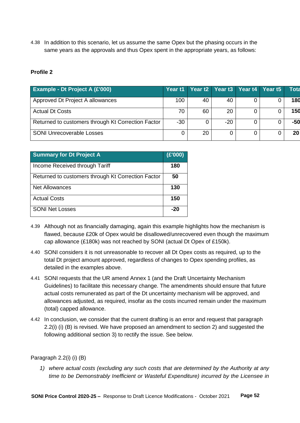4.38 In addition to this scenario, let us assume the same Opex but the phasing occurs in the same years as the approvals and thus Opex spent in the appropriate years, as follows:

# **Profile 2**

| <b>Example - Dt Project A (£'000)</b>              |       | Year t1 Year t2 Year t3 Year t4 Year t5 |       |  | Tota            |
|----------------------------------------------------|-------|-----------------------------------------|-------|--|-----------------|
| Approved Dt Project A allowances                   | 100   | 40                                      | 40    |  | 180             |
| <b>Actual Dt Costs</b>                             | 70    | 60                                      | 20    |  | 150             |
| Returned to customers through Kt Correction Factor | $-30$ |                                         | $-20$ |  | $-50$           |
| <b>SONI Unrecoverable Losses</b>                   | 0     | 20                                      |       |  | 20 <sup>1</sup> |

| <b>Summary for Dt Project A</b>                    | (E'000) |
|----------------------------------------------------|---------|
| Income Received through Tariff                     | 180     |
| Returned to customers through Kt Correction Factor | 50      |
| <b>Net Allowances</b>                              | 130     |
| <b>Actual Costs</b>                                | 150     |
| <b>SONI Net Losses</b>                             | -20     |

- 4.39 Although not as financially damaging, again this example highlights how the mechanism is flawed, because £20k of Opex would be disallowed/unrecovered even though the maximum cap allowance (£180k) was not reached by SONI (actual Dt Opex of £150k).
- 4.40 SONI considers it is not unreasonable to recover all Dt Opex costs as required, up to the total Dt project amount approved, regardless of changes to Opex spending profiles, as detailed in the examples above.
- 4.41 SONI requests that the UR amend Annex 1 (and the Draft Uncertainty Mechanism Guidelines) to facilitate this necessary change. The amendments should ensure that future actual costs remunerated as part of the Dt uncertainty mechanism will be approved, and allowances adjusted, as required, insofar as the costs incurred remain under the maximum (total) capped allowance.
- 4.42 In conclusion, we consider that the current drafting is an error and request that paragraph 2.2(i) (i) (B) is revised. We have proposed an amendment to section 2) and suggested the following additional section 3) to rectify the issue. See below.

# Paragraph 2.2(i) (i) (B)

*1) where actual costs (excluding any such costs that are determined by the Authority at any time to be Demonstrably Inefficient or Wasteful Expenditure) incurred by the Licensee in*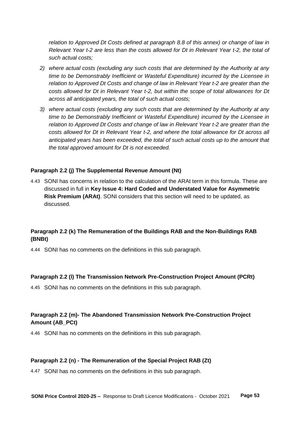*relation to Approved Dt Costs defined at paragraph 8.8 of this annex) or change of law in Relevant Year t-2 are less than the costs allowed for Dt in Relevant Year t-2, the total of such actual costs;*

- *2) where actual costs (excluding any such costs that are determined by the Authority at any time to be Demonstrably Inefficient or Wasteful Expenditure) incurred by the Licensee in relation to Approved Dt Costs and change of law in Relevant Year t-2 are greater than the costs allowed for Dt in Relevant Year t-2, but within the scope of total allowances for Dt across all anticipated years, the total of such actual costs;*
- *3) where actual costs (excluding any such costs that are determined by the Authority at any time to be Demonstrably Inefficient or Wasteful Expenditure) incurred by the Licensee in relation to Approved Dt Costs and change of law in Relevant Year t-2 are greater than the costs allowed for Dt in Relevant Year t-2, and where the total allowance for Dt across all anticipated years has been exceeded, the total of such actual costs up to the amount that the total approved amount for Dt is not exceeded.*

#### **Paragraph 2.2 (j) The Supplemental Revenue Amount (Nt)**

4.43 SONI has concerns in relation to the calculation of the ARAt term in this formula. These are discussed in full in **Key Issue 4: Hard Coded and Understated Value for Asymmetric Risk Premium (ARAt)**. SONI considers that this section will need to be updated, as discussed.

# **Paragraph 2.2 (k) The Remuneration of the Buildings RAB and the Non-Buildings RAB (BNBt)**

4.44 SONI has no comments on the definitions in this sub paragraph.

#### **Paragraph 2.2 (l) The Transmission Network Pre-Construction Project Amount (PCRt)**

4.45 SONI has no comments on the definitions in this sub paragraph.

# **Paragraph 2.2 (m)- The Abandoned Transmission Network Pre-Construction Project Amount (AB\_PCt)**

4.46 SONI has no comments on the definitions in this sub paragraph.

#### **Paragraph 2.2 (n) - The Remuneration of the Special Project RAB (Zt)**

4.47 SONI has no comments on the definitions in this sub paragraph.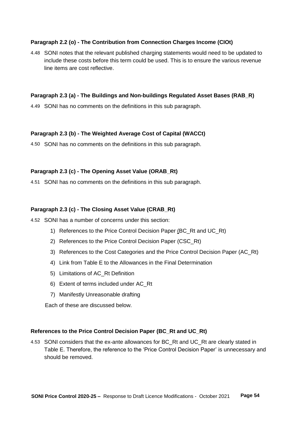# **Paragraph 2.2 (o) - The Contribution from Connection Charges Income (CIOt)**

4.48 SONI notes that the relevant published charging statements would need to be updated to include these costs before this term could be used. This is to ensure the various revenue line items are cost reflective.

# **Paragraph 2.3 (a) - The Buildings and Non-buildings Regulated Asset Bases (RAB\_R)**

4.49 SONI has no comments on the definitions in this sub paragraph.

# **Paragraph 2.3 (b) - The Weighted Average Cost of Capital (WACCt)**

4.50 SONI has no comments on the definitions in this sub paragraph.

# **Paragraph 2.3 (c) - The Opening Asset Value (ORAB\_Rt)**

4.51 SONI has no comments on the definitions in this sub paragraph.

# **Paragraph 2.3 (c) - The Closing Asset Value (CRAB\_Rt)**

4.52 SONI has a number of concerns under this section:

- 1) References to the Price Control Decision Paper (BC\_Rt and UC\_Rt)
- 2) References to the Price Control Decision Paper (CSC\_Rt)
- 3) References to the Cost Categories and the Price Control Decision Paper (AC\_Rt)
- 4) Link from Table E to the Allowances in the Final Determination
- 5) Limitations of AC\_Rt Definition
- 6) Extent of terms included under AC\_Rt
- 7) Manifestly Unreasonable drafting

Each of these are discussed below.

# **References to the Price Control Decision Paper (BC\_Rt and UC\_Rt)**

4.53 SONI considers that the ex-ante allowances for BC\_Rt and UC\_Rt are clearly stated in Table E. Therefore, the reference to the 'Price Control Decision Paper' is unnecessary and should be removed.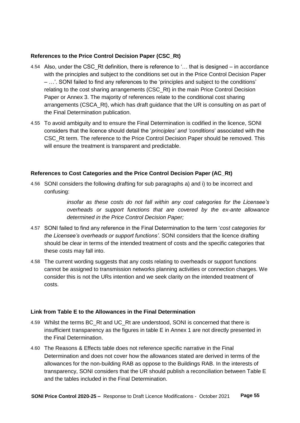# **References to the Price Control Decision Paper (CSC\_Rt)**

- 4.54 Also, under the CSC\_Rt definition, there is reference to '… that is designed in accordance with the principles and subject to the conditions set out in the Price Control Decision Paper – …'. SONI failed to find any references to the 'principles and subject to the conditions' relating to the cost sharing arrangements (CSC\_Rt) in the main Price Control Decision Paper or Annex 3. The majority of references relate to the conditional cost sharing arrangements (CSCA\_Rt), which has draft guidance that the UR is consulting on as part of the Final Determination publication.
- 4.55 To avoid ambiguity and to ensure the Final Determination is codified in the licence, SONI considers that the licence should detail the '*principles' and 'conditions*' associated with the CSC\_Rt term. The reference to the Price Control Decision Paper should be removed. This will ensure the treatment is transparent and predictable.

# **References to Cost Categories and the Price Control Decision Paper (AC\_Rt)**

4.56 SONI considers the following drafting for sub paragraphs a) and i) to be incorrect and confusing:

> *insofar as these costs do not fall within any cost categories for the Licensee's overheads or support functions that are covered by the ex-ante allowance determined in the Price Control Decision Paper;*

- 4.57 SONI failed to find any reference in the Final Determination to the term '*cost categories for the Licensee's overheads or support functions'*. SONI considers that the licence drafting should be clear in terms of the intended treatment of costs and the specific categories that these costs may fall into.
- 4.58 The current wording suggests that any costs relating to overheads or support functions cannot be assigned to transmission networks planning activities or connection charges. We consider this is not the URs intention and we seek clarity on the intended treatment of costs.

# **Link from Table E to the Allowances in the Final Determination**

- 4.59 Whilst the terms BC\_Rt and UC\_Rt are understood, SONI is concerned that there is insufficient transparency as the figures in table E in Annex 1 are not directly presented in the Final Determination.
- 4.60 The Reasons & Effects table does not reference specific narrative in the Final Determination and does not cover how the allowances stated are derived in terms of the allowances for the non-building RAB as oppose to the Buildings RAB. In the interests of transparency, SONI considers that the UR should publish a reconciliation between Table E and the tables included in the Final Determination.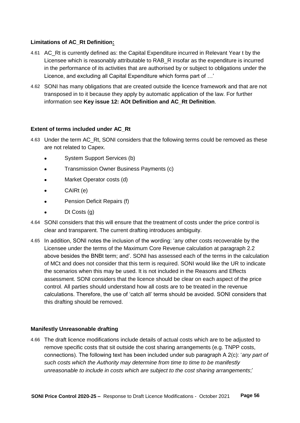# **Limitations of AC\_Rt Definition:**

- 4.61 AC Rt is currently defined as: the Capital Expenditure incurred in Relevant Year t by the Licensee which is reasonably attributable to RAB\_R insofar as the expenditure is incurred in the performance of its activities that are authorised by or subject to obligations under the Licence, and excluding all Capital Expenditure which forms part of …'
- 4.62 SONI has many obligations that are created outside the licence framework and that are not transposed in to it because they apply by automatic application of the law. For further information see **Key issue 12: AOt Definition and AC\_Rt Definition**.

# **Extent of terms included under AC\_Rt**

- 4.63 Under the term AC\_Rt, SONI considers that the following terms could be removed as these are not related to Capex.
	- System Support Services (b)
	- Transmission Owner Business Payments (c)
	- Market Operator costs (d)
	- $\bullet$  CAIRt (e)
	- **•** Pension Deficit Repairs (f)
	- $\bullet$  Dt Costs (g)
- 4.64 SONI considers that this will ensure that the treatment of costs under the price control is clear and transparent. The current drafting introduces ambiguity.
- 4.65 In addition, SONI notes the inclusion of the wording: 'any other costs recoverable by the Licensee under the terms of the Maximum Core Revenue calculation at paragraph 2.2 above besides the BNBt term; and'. SONI has assessed each of the terms in the calculation of MCt and does not consider that this term is required. SONI would like the UR to indicate the scenarios when this may be used. It is not included in the Reasons and Effects assessment. SONI considers that the licence should be clear on each aspect of the price control. All parties should understand how all costs are to be treated in the revenue calculations. Therefore, the use of 'catch all' terms should be avoided. SONI considers that this drafting should be removed.

# **Manifestly Unreasonable drafting**

4.66 The draft licence modifications include details of actual costs which are to be adjusted to remove specific costs that sit outside the cost sharing arrangements (e.g. TNPP costs, connections). The following text has been included under sub paragraph A 2(c): '*any part of such costs which the Authority may determine from time to time to be manifestly unreasonable to include in costs which are subject to the cost sharing arrangements*;'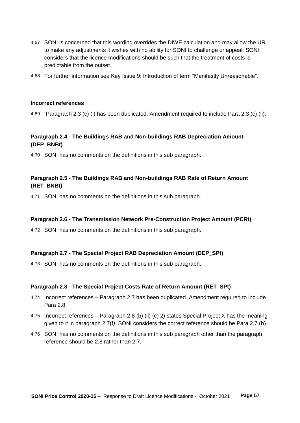- 4.67 SONI is concerned that this wording overrides the DIWE calculation and may allow the UR to make any adjustments it wishes with no ability for SONI to challenge or appeal. SONI considers that the licence modifications should be such that the treatment of costs is predictable from the outset.
- 4.68 For further information see Key Issue 9: Introduction of term "Manifestly Unreasonable".

#### **Incorrect references**

4.69 Paragraph 2.3 (c) (i) has been duplicated. Amendment required to include Para 2.3 (c) (ii).

# **Paragraph 2.4 - The Buildings RAB and Non-buildings RAB Depreciation Amount (DEP\_BNBt)**

4.70 SONI has no comments on the definitions in this sub paragraph.

# **Paragraph 2.5 - The Buildings RAB and Non-buildings RAB Rate of Return Amount (RET\_BNBt)**

4.71 SONI has no comments on the definitions in this sub paragraph.

#### **Paragraph 2.6 - The Transmission Network Pre-Construction Project Amount (PCRt)**

4.72 SONI has no comments on the definitions in this sub paragraph.

# **Paragraph 2.7 - The Special Project RAB Depreciation Amount (DEP\_SPt)**

4.73 SONI has no comments on the definitions in this sub paragraph.

#### **Paragraph 2.8 - The Special Project Costs Rate of Return Amount (RET\_SPt)**

- 4.74 Incorrect references Paragraph 2.7 has been duplicated. Amendment required to include Para 2.8
- 4.75 Incorrect references Paragraph 2.8 (b) (ii) (c) 2) states Special Project X has the meaning given to it in paragraph 2.7(f*).* SONI considers the correct reference should be Para 2.7 (b)
- 4.76 SONI has no comments on the definitions in this sub paragraph other than the paragraph reference should be 2.8 rather than 2.7.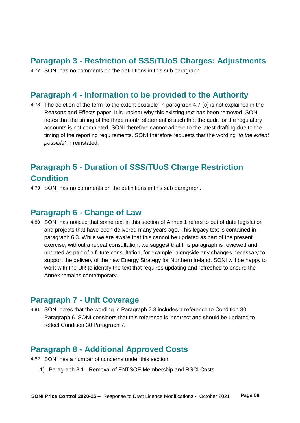# <span id="page-57-0"></span>**Paragraph 3 - Restriction of SSS/TUoS Charges: Adjustments**

4.77 SONI has no comments on the definitions in this sub paragraph.

# <span id="page-57-1"></span>**Paragraph 4 - Information to be provided to the Authority**

4.78 The deletion of the term 'to the extent possible' in paragraph 4.7 (c) is not explained in the Reasons and Effects paper. It is unclear why this existing text has been removed. SONI notes that the timing of the three month statement is such that the audit for the regulatory accounts is not completed. SONI therefore cannot adhere to the latest drafting due to the timing of the reporting requirements. SONI therefore requests that the wording '*to the extent possible'* in reinstated.

# <span id="page-57-2"></span>**Paragraph 5 - Duration of SSS/TUoS Charge Restriction Condition**

4.79 SONI has no comments on the definitions in this sub paragraph.

# <span id="page-57-3"></span>**Paragraph 6 - Change of Law**

4.80 SONI has noticed that some text in this section of Annex 1 refers to out of date legislation and projects that have been delivered many years ago. This legacy text is contained in paragraph 6.3. While we are aware that this cannot be updated as part of the present exercise, without a repeat consultation, we suggest that this paragraph is reviewed and updated as part of a future consultation, for example, alongside any changes necessary to support the delivery of the new Energy Strategy for Northern Ireland. SONI will be happy to work with the UR to identify the text that requires updating and refreshed to ensure the Annex remains contemporary.

# <span id="page-57-4"></span>**Paragraph 7 - Unit Coverage**

4.81 SONI notes that the wording in Paragraph 7.3 includes a reference to Condition 30 Paragraph 6. SONI considers that this reference is incorrect and should be updated to reflect Condition 30 Paragraph 7.

# <span id="page-57-5"></span>**Paragraph 8 - Additional Approved Costs**

4.82 SONI has a number of concerns under this section:

1) Paragraph 8.1 - Removal of ENTSOE Membership and RSCI Costs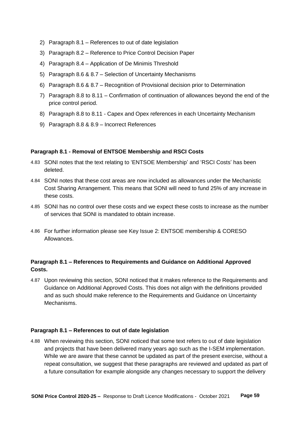- 2) Paragraph 8.1 References to out of date legislation
- 3) Paragraph 8.2 Reference to Price Control Decision Paper
- 4) Paragraph 8.4 Application of De Minimis Threshold
- 5) Paragraph 8.6 & 8.7 Selection of Uncertainty Mechanisms
- 6) Paragraph 8.6 & 8.7 Recognition of Provisional decision prior to Determination
- 7) Paragraph 8.8 to 8.11 Confirmation of continuation of allowances beyond the end of the price control period.
- 8) Paragraph 8.8 to 8.11 Capex and Opex references in each Uncertainty Mechanism
- 9) Paragraph 8.8 & 8.9 Incorrect References

# **Paragraph 8.1 - Removal of ENTSOE Membership and RSCI Costs**

- 4.83 SONI notes that the text relating to 'ENTSOE Membership' and 'RSCI Costs' has been deleted.
- 4.84 SONI notes that these cost areas are now included as allowances under the Mechanistic Cost Sharing Arrangement. This means that SONI will need to fund 25% of any increase in these costs.
- 4.85 SONI has no control over these costs and we expect these costs to increase as the number of services that SONI is mandated to obtain increase.
- 4.86 For further information please see Key Issue 2: ENTSOE membership & CORESO Allowances.

# **Paragraph 8.1 – References to Requirements and Guidance on Additional Approved Costs.**

4.87 Upon reviewing this section, SONI noticed that it makes reference to the Requirements and Guidance on Additional Approved Costs. This does not align with the definitions provided and as such should make reference to the Requirements and Guidance on Uncertainty Mechanisms.

### **Paragraph 8.1 – References to out of date legislation**

4.88 When reviewing this section, SONI noticed that some text refers to out of date legislation and projects that have been delivered many years ago such as the I-SEM implementation. While we are aware that these cannot be updated as part of the present exercise, without a repeat consultation, we suggest that these paragraphs are reviewed and updated as part of a future consultation for example alongside any changes necessary to support the delivery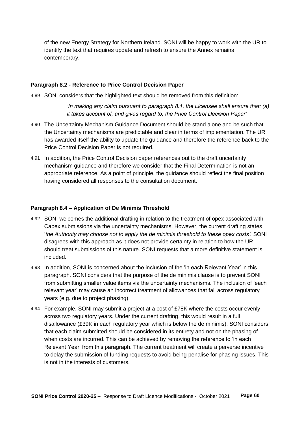of the new Energy Strategy for Northern Ireland. SONI will be happy to work with the UR to identify the text that requires update and refresh to ensure the Annex remains contemporary.

## **Paragraph 8.2 - Reference to Price Control Decision Paper**

4.89 SONI considers that the highlighted text should be removed from this definition:

*'In making any claim pursuant to paragraph 8.1, the Licensee shall ensure that: (a) it takes account of, and gives regard to, the Price Control Decision Paper'*

- 4.90 The Uncertainty Mechanism Guidance Document should be stand alone and be such that the Uncertainty mechanisms are predictable and clear in terms of implementation. The UR has awarded itself the ability to update the guidance and therefore the reference back to the Price Control Decision Paper is not required.
- 4.91 In addition, the Price Control Decision paper references out to the draft uncertainty mechanism guidance and therefore we consider that the Final Determination is not an appropriate reference. As a point of principle, the guidance should reflect the final position having considered all responses to the consultation document.

## **Paragraph 8.4 – Application of De Minimis Threshold**

- 4.92 SONI welcomes the additional drafting in relation to the treatment of opex associated with Capex submissions via the uncertainty mechanisms. However, the current drafting states '*the Authority may choose not to apply the de minimis threshold to these opex costs'.* SONI disagrees with this approach as it does not provide certainty in relation to how the UR should treat submissions of this nature. SONI requests that a more definitive statement is included.
- 4.93 In addition, SONI is concerned about the inclusion of the 'in each Relevant Year' in this paragraph. SONI considers that the purpose of the de minimis clause is to prevent SONI from submitting smaller value items via the uncertainty mechanisms. The inclusion of 'each relevant year' may cause an incorrect treatment of allowances that fall across regulatory years (e.g. due to project phasing).
- 4.94 For example, SONI may submit a project at a cost of £78K where the costs occur evenly across two regulatory years. Under the current drafting, this would result in a full disallowance (£39K in each regulatory year which is below the de minimis). SONI considers that each claim submitted should be considered in its entirety and not on the phasing of when costs are incurred. This can be achieved by removing the reference to 'in each Relevant Year' from this paragraph. The current treatment will create a perverse incentive to delay the submission of funding requests to avoid being penalise for phasing issues. This is not in the interests of customers.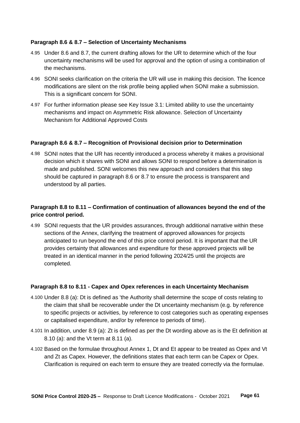## **Paragraph 8.6 & 8.7 – Selection of Uncertainty Mechanisms**

- 4.95 Under 8.6 and 8.7, the current drafting allows for the UR to determine which of the four uncertainty mechanisms will be used for approval and the option of using a combination of the mechanisms.
- 4.96 SONI seeks clarification on the criteria the UR will use in making this decision. The licence modifications are silent on the risk profile being applied when SONI make a submission. This is a significant concern for SONI.
- 4.97 For further information please see Key Issue 3.1: Limited ability to use the uncertainty mechanisms and impact on Asymmetric Risk allowance. Selection of Uncertainty Mechanism for Additional Approved Costs

## **Paragraph 8.6 & 8.7 – Recognition of Provisional decision prior to Determination**

4.98 SONI notes that the UR has recently introduced a process whereby it makes a provisional decision which it shares with SONI and allows SONI to respond before a determination is made and published. SONI welcomes this new approach and considers that this step should be captured in paragraph 8.6 or 8.7 to ensure the process is transparent and understood by all parties.

# **Paragraph 8.8 to 8.11 – Confirmation of continuation of allowances beyond the end of the price control period.**

4.99 SONI requests that the UR provides assurances, through additional narrative within these sections of the Annex, clarifying the treatment of approved allowances for projects anticipated to run beyond the end of this price control period. It is important that the UR provides certainty that allowances and expenditure for these approved projects will be treated in an identical manner in the period following 2024/25 until the projects are completed.

#### **Paragraph 8.8 to 8.11 - Capex and Opex references in each Uncertainty Mechanism**

- 4.100 Under 8.8 (a): Dt is defined as 'the Authority shall determine the scope of costs relating to the claim that shall be recoverable under the Dt uncertainty mechanism (e.g. by reference to specific projects or activities, by reference to cost categories such as operating expenses or capitalised expenditure, and/or by reference to periods of time).
- 4.101 In addition, under 8.9 (a): Zt is defined as per the Dt wording above as is the Et definition at 8.10 (a): and the Vt term at 8.11 (a).
- 4.102 Based on the formulae throughout Annex 1, Dt and Et appear to be treated as Opex and Vt and Zt as Capex. However, the definitions states that each term can be Capex or Opex. Clarification is required on each term to ensure they are treated correctly via the formulae.